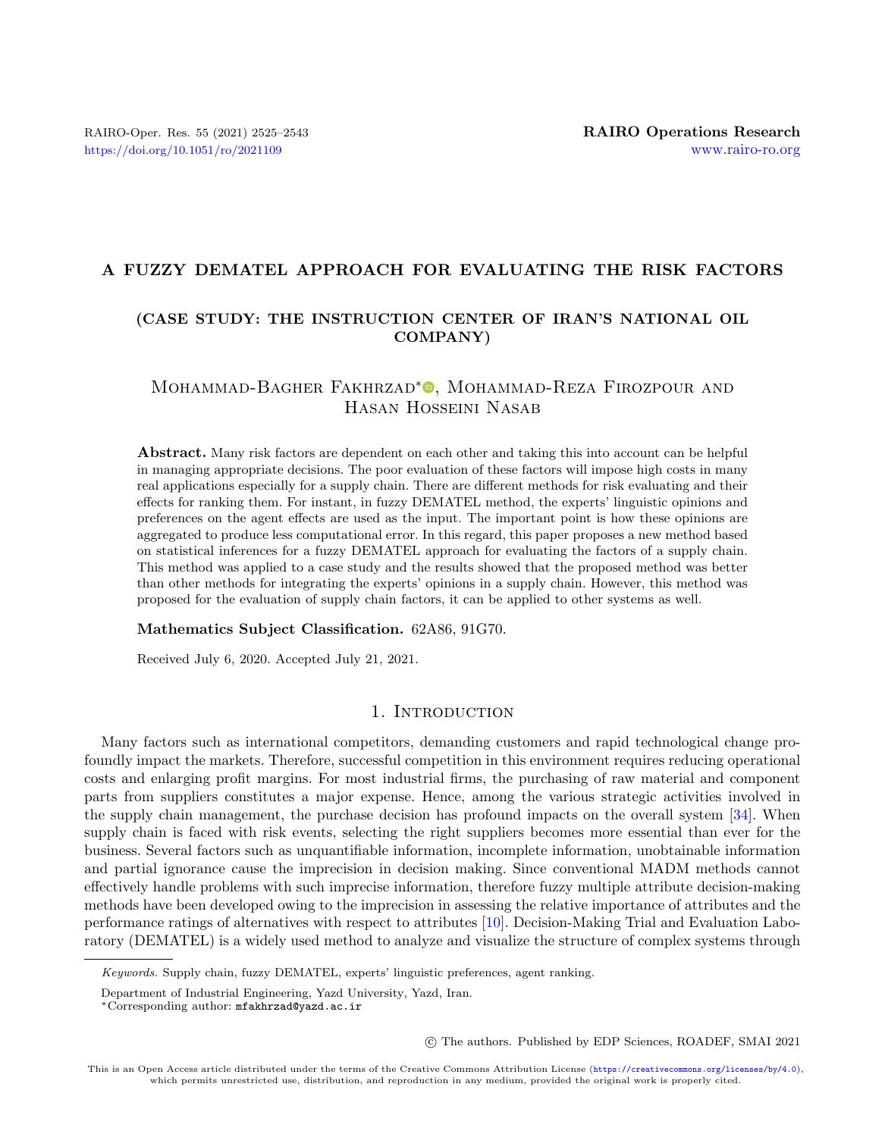## A FUZZY DEMATEL APPROACH FOR EVALUATING THE RISK FACTORS

## (CASE STUDY: THE INSTRUCTION CENTER OF IRAN'S NATIONAL OIL COMPANY)

## Mohammad-Bagher Fakhrzad<sup>∗</sup> , Mohammad-Reza Firozpour and Hasan H[os](http://orcid.org/0000-0001-8918-8588)seini Nasab

Abstract. Many risk factors are dependent on each other and taking this into account can be helpful in managing appropriate decisions. The poor evaluation of these factors will impose high costs in many real applications especially for a supply chain. There are different methods for risk evaluating and their effects for ranking them. For instant, in fuzzy DEMATEL method, the experts' linguistic opinions and preferences on the agent effects are used as the input. The important point is how these opinions are aggregated to produce less computational error. In this regard, this paper proposes a new method based on statistical inferences for a fuzzy DEMATEL approach for evaluating the factors of a supply chain. This method was applied to a case study and the results showed that the proposed method was better than other methods for integrating the experts' opinions in a supply chain. However, this method was proposed for the evaluation of supply chain factors, it can be applied to other systems as well.

#### Mathematics Subject Classification. 62A86, 91G70.

Received July 6, 2020. Accepted July 21, 2021.

## 1. INTRODUCTION

Many factors such as international competitors, demanding customers and rapid technological change profoundly impact the markets. Therefore, successful competition in this environment requires reducing operational costs and enlarging profit margins. For most industrial firms, the purchasing of raw material and component parts from suppliers constitutes a major expense. Hence, among the various strategic activities involved in the supply chain management, the purchase decision has profound impacts on the overall system [\[34\]](#page-17-0). When supply chain is faced with risk events, selecting the right suppliers becomes more essential than ever for the business. Several factors such as unquantifiable information, incomplete information, unobtainable information and partial ignorance cause the imprecision in decision making. Since conventional MADM methods cannot effectively handle problems with such imprecise information, therefore fuzzy multiple attribute decision-making methods have been developed owing to the imprecision in assessing the relative importance of attributes and the performance ratings of alternatives with respect to attributes [\[10\]](#page-16-0). Decision-Making Trial and Evaluation Laboratory (DEMATEL) is a widely used method to analyze and visualize the structure of complex systems through

c The authors. Published by EDP Sciences, ROADEF, SMAI 2021

Keywords. Supply chain, fuzzy DEMATEL, experts' linguistic preferences, agent ranking.

Department of Industrial Engineering, Yazd University, Yazd, Iran.

<sup>∗</sup>Corresponding author: [mfakhrzad@yazd.ac.ir](mailto:mfakhrzad@yazd.ac.ir)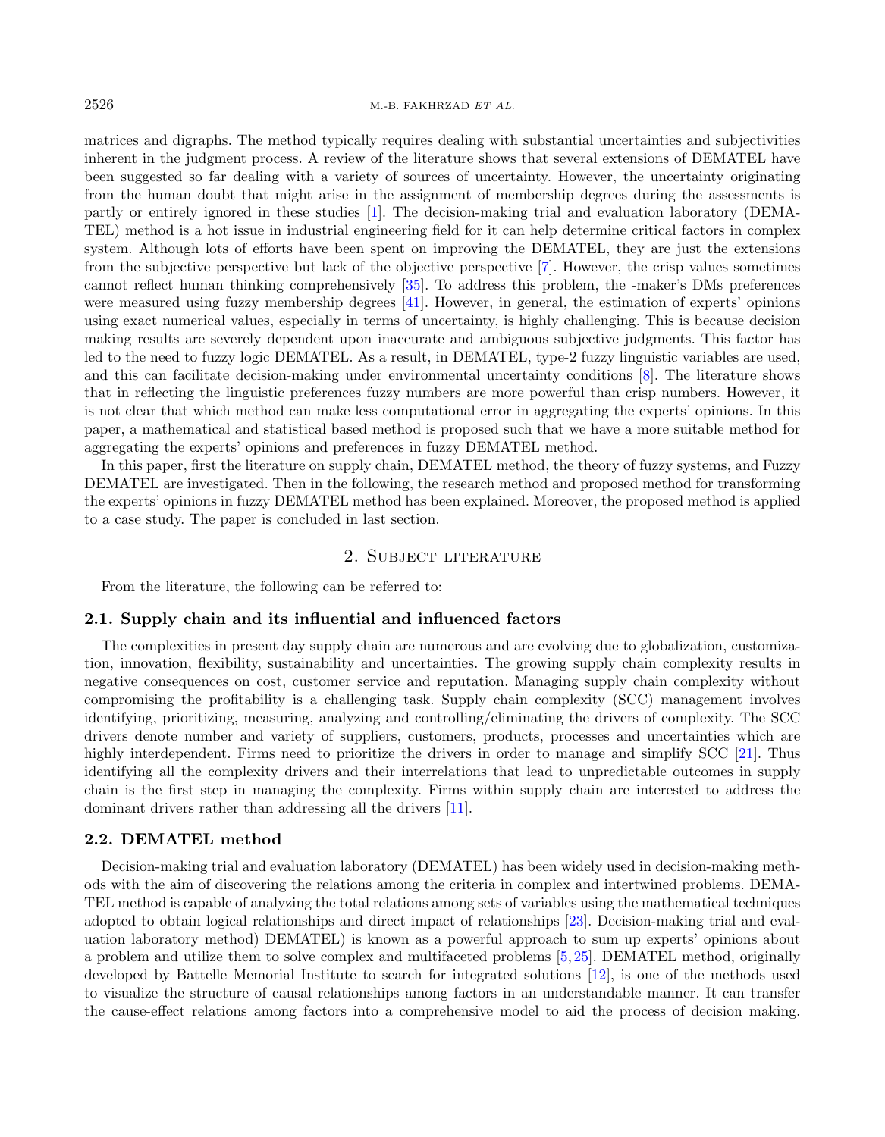#### $2526$  M.-B. FAKHRZAD ET AL.

matrices and digraphs. The method typically requires dealing with substantial uncertainties and subjectivities inherent in the judgment process. A review of the literature shows that several extensions of DEMATEL have been suggested so far dealing with a variety of sources of uncertainty. However, the uncertainty originating from the human doubt that might arise in the assignment of membership degrees during the assessments is partly or entirely ignored in these studies [\[1\]](#page-16-1). The decision-making trial and evaluation laboratory (DEMA-TEL) method is a hot issue in industrial engineering field for it can help determine critical factors in complex system. Although lots of efforts have been spent on improving the DEMATEL, they are just the extensions from the subjective perspective but lack of the objective perspective [\[7\]](#page-16-2). However, the crisp values sometimes cannot reflect human thinking comprehensively [\[35\]](#page-17-1). To address this problem, the -maker's DMs preferences were measured using fuzzy membership degrees [\[41\]](#page-17-2). However, in general, the estimation of experts' opinions using exact numerical values, especially in terms of uncertainty, is highly challenging. This is because decision making results are severely dependent upon inaccurate and ambiguous subjective judgments. This factor has led to the need to fuzzy logic DEMATEL. As a result, in DEMATEL, type-2 fuzzy linguistic variables are used, and this can facilitate decision-making under environmental uncertainty conditions [\[8\]](#page-16-3). The literature shows that in reflecting the linguistic preferences fuzzy numbers are more powerful than crisp numbers. However, it is not clear that which method can make less computational error in aggregating the experts' opinions. In this paper, a mathematical and statistical based method is proposed such that we have a more suitable method for aggregating the experts' opinions and preferences in fuzzy DEMATEL method.

In this paper, first the literature on supply chain, DEMATEL method, the theory of fuzzy systems, and Fuzzy DEMATEL are investigated. Then in the following, the research method and proposed method for transforming the experts' opinions in fuzzy DEMATEL method has been explained. Moreover, the proposed method is applied to a case study. The paper is concluded in last section.

## 2. Subject literature

From the literature, the following can be referred to:

#### 2.1. Supply chain and its influential and influenced factors

The complexities in present day supply chain are numerous and are evolving due to globalization, customization, innovation, flexibility, sustainability and uncertainties. The growing supply chain complexity results in negative consequences on cost, customer service and reputation. Managing supply chain complexity without compromising the profitability is a challenging task. Supply chain complexity (SCC) management involves identifying, prioritizing, measuring, analyzing and controlling/eliminating the drivers of complexity. The SCC drivers denote number and variety of suppliers, customers, products, processes and uncertainties which are highly interdependent. Firms need to prioritize the drivers in order to manage and simplify SCC [\[21\]](#page-17-3). Thus identifying all the complexity drivers and their interrelations that lead to unpredictable outcomes in supply chain is the first step in managing the complexity. Firms within supply chain are interested to address the dominant drivers rather than addressing all the drivers [\[11\]](#page-16-4).

#### 2.2. DEMATEL method

Decision-making trial and evaluation laboratory (DEMATEL) has been widely used in decision-making methods with the aim of discovering the relations among the criteria in complex and intertwined problems. DEMA-TEL method is capable of analyzing the total relations among sets of variables using the mathematical techniques adopted to obtain logical relationships and direct impact of relationships [\[23\]](#page-17-4). Decision-making trial and evaluation laboratory method) DEMATEL) is known as a powerful approach to sum up experts' opinions about a problem and utilize them to solve complex and multifaceted problems [\[5,](#page-16-5) [25\]](#page-17-5). DEMATEL method, originally developed by Battelle Memorial Institute to search for integrated solutions [\[12\]](#page-16-6), is one of the methods used to visualize the structure of causal relationships among factors in an understandable manner. It can transfer the cause-effect relations among factors into a comprehensive model to aid the process of decision making.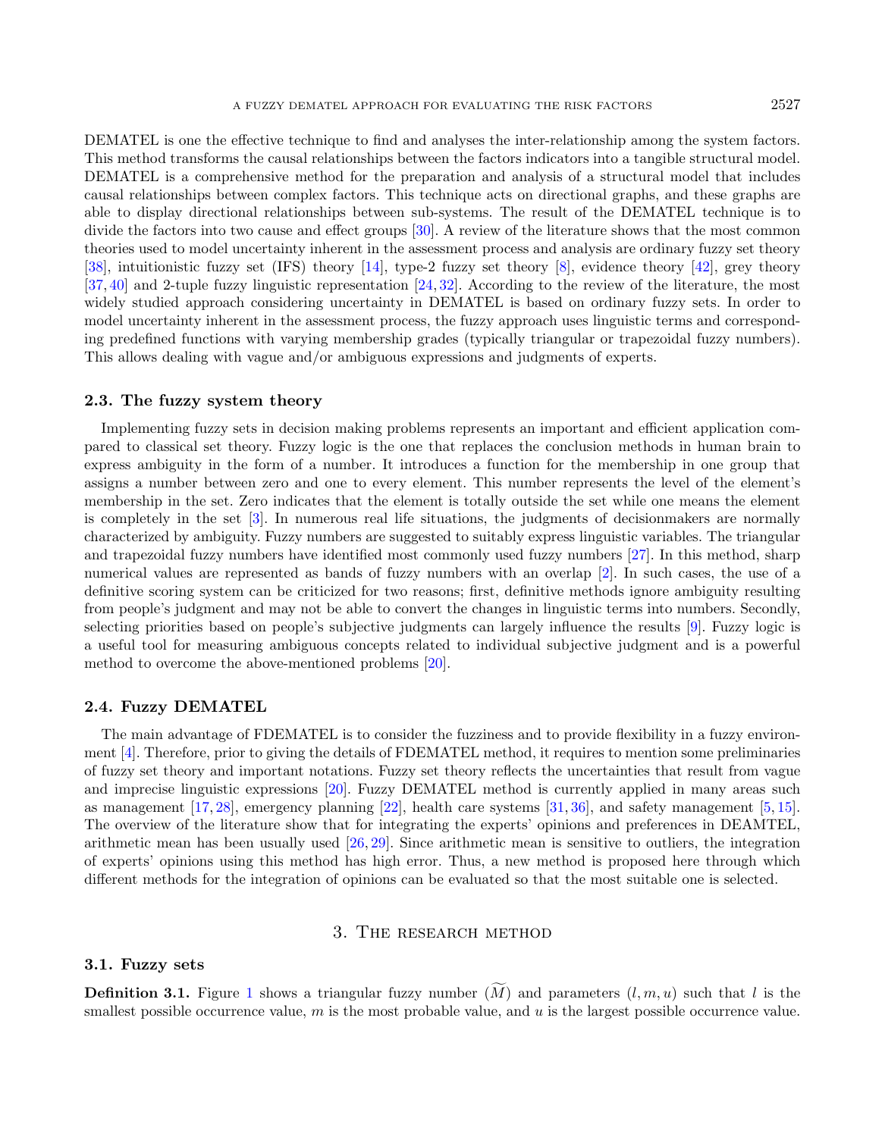DEMATEL is one the effective technique to find and analyses the inter-relationship among the system factors. This method transforms the causal relationships between the factors indicators into a tangible structural model. DEMATEL is a comprehensive method for the preparation and analysis of a structural model that includes causal relationships between complex factors. This technique acts on directional graphs, and these graphs are able to display directional relationships between sub-systems. The result of the DEMATEL technique is to divide the factors into two cause and effect groups [\[30\]](#page-17-6). A review of the literature shows that the most common theories used to model uncertainty inherent in the assessment process and analysis are ordinary fuzzy set theory [\[38\]](#page-17-7), intuitionistic fuzzy set (IFS) theory [\[14\]](#page-16-7), type-2 fuzzy set theory [\[8\]](#page-16-3), evidence theory [\[42\]](#page-17-8), grey theory [\[37,](#page-17-9) [40\]](#page-17-10) and 2-tuple fuzzy linguistic representation [\[24,](#page-17-11) [32\]](#page-17-12). According to the review of the literature, the most widely studied approach considering uncertainty in DEMATEL is based on ordinary fuzzy sets. In order to model uncertainty inherent in the assessment process, the fuzzy approach uses linguistic terms and corresponding predefined functions with varying membership grades (typically triangular or trapezoidal fuzzy numbers). This allows dealing with vague and/or ambiguous expressions and judgments of experts.

#### 2.3. The fuzzy system theory

Implementing fuzzy sets in decision making problems represents an important and efficient application compared to classical set theory. Fuzzy logic is the one that replaces the conclusion methods in human brain to express ambiguity in the form of a number. It introduces a function for the membership in one group that assigns a number between zero and one to every element. This number represents the level of the element's membership in the set. Zero indicates that the element is totally outside the set while one means the element is completely in the set [\[3\]](#page-16-8). In numerous real life situations, the judgments of decisionmakers are normally characterized by ambiguity. Fuzzy numbers are suggested to suitably express linguistic variables. The triangular and trapezoidal fuzzy numbers have identified most commonly used fuzzy numbers [\[27\]](#page-17-13). In this method, sharp numerical values are represented as bands of fuzzy numbers with an overlap [\[2\]](#page-16-9). In such cases, the use of a definitive scoring system can be criticized for two reasons; first, definitive methods ignore ambiguity resulting from people's judgment and may not be able to convert the changes in linguistic terms into numbers. Secondly, selecting priorities based on people's subjective judgments can largely influence the results [\[9\]](#page-16-10). Fuzzy logic is a useful tool for measuring ambiguous concepts related to individual subjective judgment and is a powerful method to overcome the above-mentioned problems [\[20\]](#page-17-14).

## 2.4. Fuzzy DEMATEL

The main advantage of FDEMATEL is to consider the fuzziness and to provide flexibility in a fuzzy environment [\[4\]](#page-16-11). Therefore, prior to giving the details of FDEMATEL method, it requires to mention some preliminaries of fuzzy set theory and important notations. Fuzzy set theory reflects the uncertainties that result from vague and imprecise linguistic expressions [\[20\]](#page-17-14). Fuzzy DEMATEL method is currently applied in many areas such as management [\[17,](#page-16-12) [28\]](#page-17-15), emergency planning [\[22\]](#page-17-16), health care systems [\[31,](#page-17-17) [36\]](#page-17-18), and safety management [\[5,](#page-16-5) [15\]](#page-16-13). The overview of the literature show that for integrating the experts' opinions and preferences in DEAMTEL, arithmetic mean has been usually used [\[26,](#page-17-19) [29\]](#page-17-20). Since arithmetic mean is sensitive to outliers, the integration of experts' opinions using this method has high error. Thus, a new method is proposed here through which different methods for the integration of opinions can be evaluated so that the most suitable one is selected.

## 3. The research method

### 3.1. Fuzzy sets

**Definition 3.[1](#page-3-0).** Figure 1 shows a triangular fuzzy number  $(\overline{M})$  and parameters  $(l, m, u)$  such that l is the smallest possible occurrence value, m is the most probable value, and u is the largest possible occurrence value.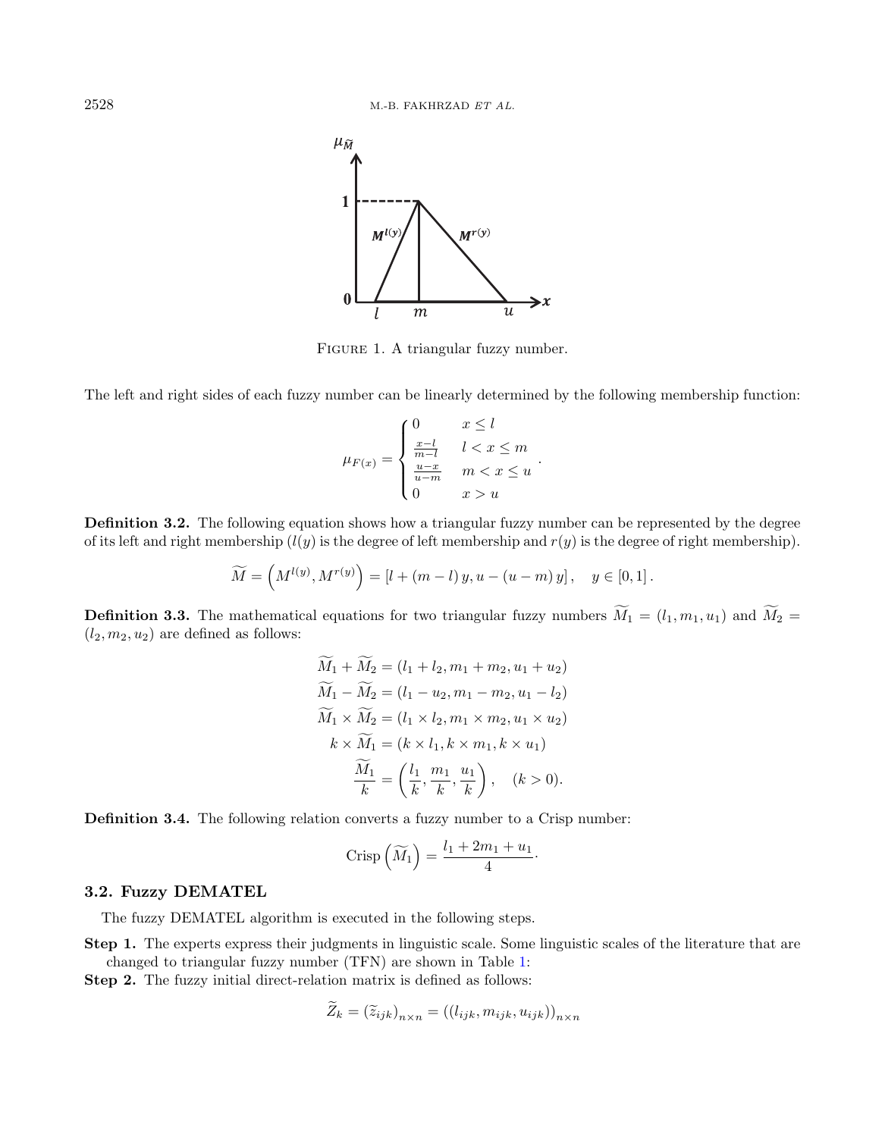<span id="page-3-0"></span>

FIGURE 1. A triangular fuzzy number.

The left and right sides of each fuzzy number can be linearly determined by the following membership function:

$$
\mu_{F(x)} = \begin{cases} 0 & x \le l \\ \frac{x-l}{m-l} & l < x \le m \\ \frac{u-x}{u-m} & m < x \le u \\ 0 & x > u \end{cases}.
$$

Definition 3.2. The following equation shows how a triangular fuzzy number can be represented by the degree of its left and right membership  $(l(y))$  is the degree of left membership and  $r(y)$  is the degree of right membership).

$$
\widetilde{M} = \left( M^{l(y)}, M^{r(y)} \right) = [l + (m - l) y, u - (u - m) y], \quad y \in [0, 1].
$$

**Definition 3.3.** The mathematical equations for two triangular fuzzy numbers  $\widetilde{M}_1 = (l_1, m_1, u_1)$  and  $\widetilde{M}_2 =$  $(l_2, m_2, u_2)$  are defined as follows:

$$
\widetilde{M}_1 + \widetilde{M}_2 = (l_1 + l_2, m_1 + m_2, u_1 + u_2) \n\widetilde{M}_1 - \widetilde{M}_2 = (l_1 - u_2, m_1 - m_2, u_1 - l_2) \n\widetilde{M}_1 \times \widetilde{M}_2 = (l_1 \times l_2, m_1 \times m_2, u_1 \times u_2) \nk \times \widetilde{M}_1 = (k \times l_1, k \times m_1, k \times u_1) \n\widetilde{M}_1 = \left(\frac{l_1}{k}, \frac{m_1}{k}, \frac{u_1}{k}\right), \quad (k > 0).
$$

Definition 3.4. The following relation converts a fuzzy number to a Crisp number:

$$
Crisp\left(\widetilde{M}_1\right) = \frac{l_1 + 2m_1 + u_1}{4} \cdot
$$

### <span id="page-3-1"></span>3.2. Fuzzy DEMATEL

The fuzzy DEMATEL algorithm is executed in the following steps.

Step 1. The experts express their judgments in linguistic scale. Some linguistic scales of the literature that are changed to triangular fuzzy number (TFN) are shown in Table [1:](#page-4-0)

Step 2. The fuzzy initial direct-relation matrix is defined as follows:

$$
\widetilde{Z}_k = (\widetilde{z}_{ijk})_{n \times n} = ((l_{ijk}, m_{ijk}, u_{ijk}))_{n \times n}
$$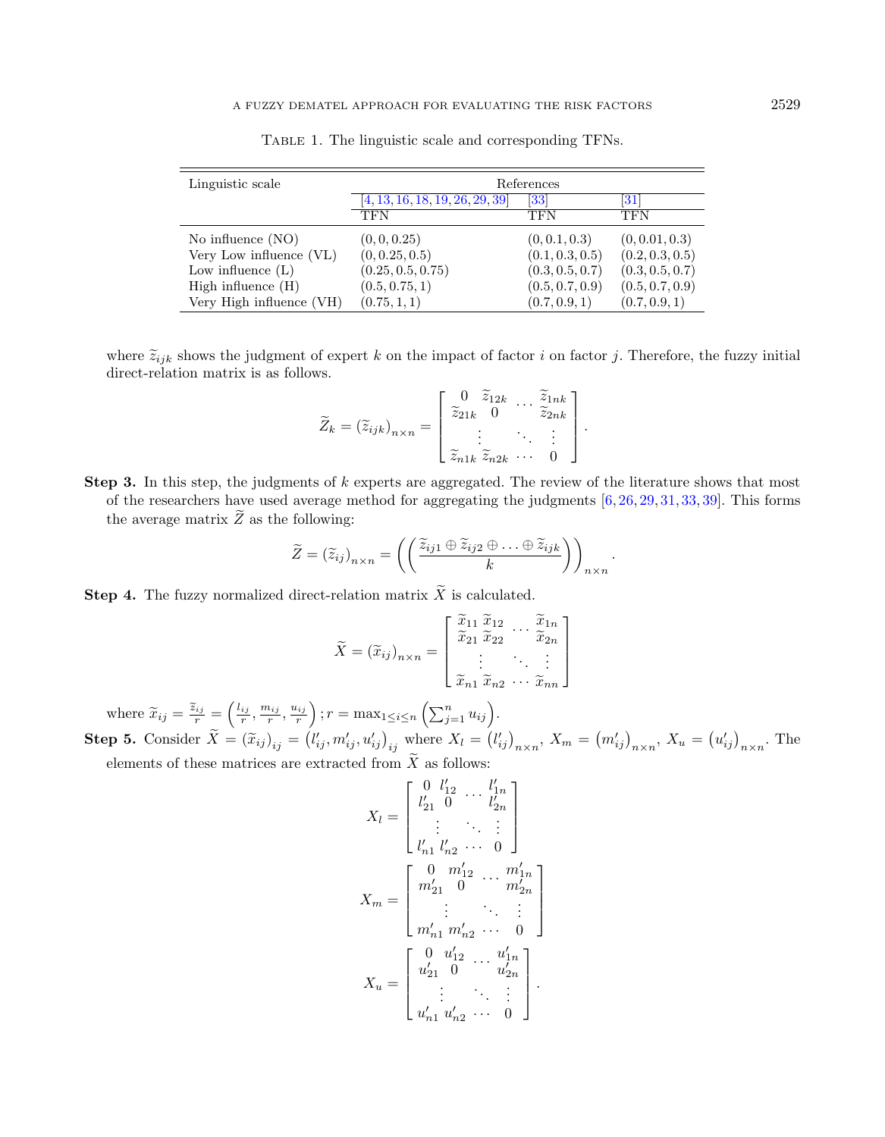| Linguistic scale         | References                      |                 |                 |  |  |  |  |
|--------------------------|---------------------------------|-----------------|-----------------|--|--|--|--|
|                          | [4, 13, 16, 18, 19, 26, 29, 39] | 33              | 31              |  |  |  |  |
|                          | TFN                             | TFN             | TFN             |  |  |  |  |
| No influence $(NO)$      | (0, 0, 0.25)                    | (0, 0.1, 0.3)   | (0, 0.01, 0.3)  |  |  |  |  |
| Very Low influence (VL)  | (0, 0.25, 0.5)                  | (0.1, 0.3, 0.5) | (0.2, 0.3, 0.5) |  |  |  |  |
| Low influence $(L)$      | (0.25, 0.5, 0.75)               | (0.3, 0.5, 0.7) | (0.3, 0.5, 0.7) |  |  |  |  |
| High influence $(H)$     | (0.5, 0.75, 1)                  | (0.5, 0.7, 0.9) | (0.5, 0.7, 0.9) |  |  |  |  |
| Very High influence (VH) | (0.75, 1, 1)                    | (0.7, 0.9, 1)   | (0.7, 0.9, 1)   |  |  |  |  |

<span id="page-4-0"></span>Table 1. The linguistic scale and corresponding TFNs.

where  $\tilde{z}_{ijk}$  shows the judgment of expert k on the impact of factor i on factor j. Therefore, the fuzzy initial direct-relation matrix is as follows.

$$
\widetilde{Z}_k = (\widetilde{z}_{ijk})_{n \times n} = \begin{bmatrix} 0 & \widetilde{z}_{12k} & \cdots & \widetilde{z}_{1nk} \\ \widetilde{z}_{21k} & 0 & \cdots & \widetilde{z}_{2nk} \\ \vdots & \vdots & \ddots & \vdots \\ \widetilde{z}_{n1k} & \widetilde{z}_{n2k} & \cdots & 0 \end{bmatrix}.
$$

**Step 3.** In this step, the judgments of  $k$  experts are aggregated. The review of the literature shows that most of the researchers have used average method for aggregating the judgments [\[6,](#page-16-17) [26,](#page-17-19) [29,](#page-17-20) [31,](#page-17-17) [33,](#page-17-23) [39\]](#page-17-22). This forms the average matrix  $\widetilde{Z}$  as the following:

$$
\widetilde{Z} = (\widetilde{z}_{ij})_{n \times n} = \left( \left( \frac{\widetilde{z}_{ij1} \oplus \widetilde{z}_{ij2} \oplus \ldots \oplus \widetilde{z}_{ijk}}{k} \right) \right)_{n \times n}.
$$

**Step 4.** The fuzzy normalized direct-relation matrix  $\widetilde{X}$  is calculated.

$$
\widetilde{X} = (\widetilde{x}_{ij})_{n \times n} = \begin{bmatrix} \widetilde{x}_{11} & \widetilde{x}_{12} & \cdots & \widetilde{x}_{1n} \\ \widetilde{x}_{21} & \widetilde{x}_{22} & \cdots & \widetilde{x}_{2n} \\ \vdots & \vdots & \ddots & \vdots \\ \widetilde{x}_{n1} & \widetilde{x}_{n2} & \cdots & \widetilde{x}_{nn} \end{bmatrix}
$$

where  $\widetilde{x}_{ij} = \frac{\widetilde{z}_{ij}}{r} = \left(\frac{l_{ij}}{r}, \frac{m_{ij}}{r}, \frac{u_{ij}}{r}\right); r = \max_{1 \leq i \leq n} \left(\sum_{j=1}^n u_{ij}\right).$ **Step 5.** Consider  $\widetilde{X} = (\widetilde{x}_{ij})_{ij} = (l'_{ij}, m'_{ij}, u'_{ij})_{ij}$  where  $X_l = (l'_{ij})_{n \times n}$ ,  $X_m = (m'_{ij})_{n \times n}$ ,  $X_u = (u'_{ij})_{n \times n}$ . The elements of these matrices are extracted from  $\widetilde{X}$  as follows:

 $\overline{\phantom{a}}$  $\overline{\phantom{a}}$ 

$$
X_{l} = \begin{bmatrix} 0 & l'_{12} & \cdots & l'_{1n} \\ l'_{21} & 0 & \cdots & l'_{2n} \\ \vdots & \ddots & \vdots \\ l'_{n1} & l'_{n2} & \cdots & 0 \end{bmatrix}
$$

$$
X_{m} = \begin{bmatrix} 0 & m'_{12} & \cdots & m'_{1n} \\ m'_{21} & 0 & \cdots & m'_{2n} \\ \vdots & \ddots & \vdots & \vdots \\ m'_{n1} & m'_{n2} & \cdots & 0 \end{bmatrix}
$$

$$
X_{u} = \begin{bmatrix} 0 & u'_{12} & \cdots & u'_{1n} \\ u'_{21} & 0 & \cdots & u'_{2n} \\ \vdots & \ddots & \vdots & \vdots \\ u'_{n1} & u'_{n2} & \cdots & 0 \end{bmatrix}.
$$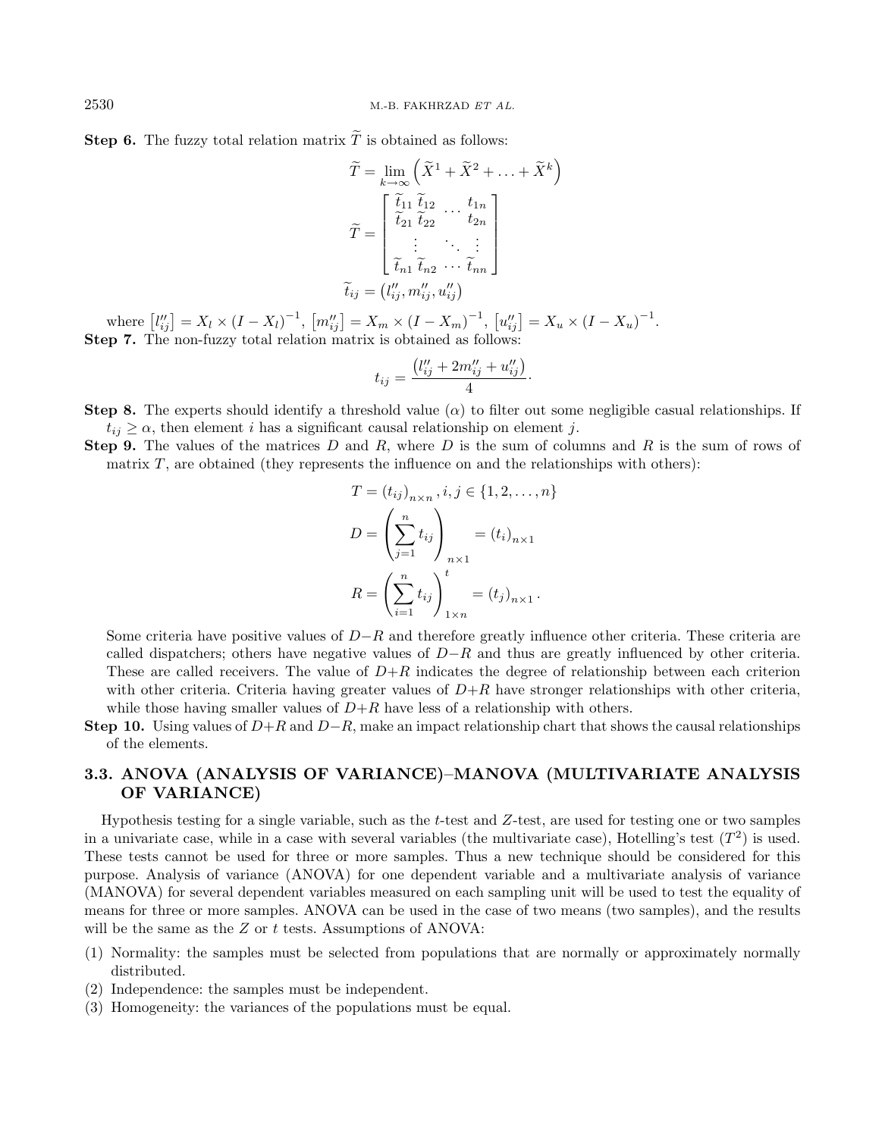**Step 6.** The fuzzy total relation matrix  $\widetilde{T}$  is obtained as follows:

$$
\widetilde{T} = \lim_{k \to \infty} \left( \widetilde{X}^1 + \widetilde{X}^2 + \ldots + \widetilde{X}^k \right)
$$

$$
\widetilde{T} = \begin{bmatrix} \widetilde{t}_{11} & \widetilde{t}_{12} & \cdots & t_{1n} \\ \widetilde{t}_{21} & \widetilde{t}_{22} & \cdots & t_{2n} \\ \vdots & \ddots & \vdots \\ \widetilde{t}_{n1} & \widetilde{t}_{n2} & \cdots & \widetilde{t}_{nn} \end{bmatrix}
$$

$$
\widetilde{t}_{ij} = (l''_{ij}, m''_{ij}, u''_{ij})
$$

where  $\left[l_{ij}''\right] = X_l \times (I - X_l)^{-1}$ ,  $\left[m_{ij}''\right] = X_m \times (I - X_m)^{-1}$ ,  $\left[u_{ij}''\right] = X_u \times (I - X_u)^{-1}$ . Step 7. The non-fuzzy total relation matrix is obtained as follows:

$$
t_{ij} = \frac{(l''_{ij} + 2m''_{ij} + u''_{ij})}{4}
$$

·

**Step 8.** The experts should identify a threshold value ( $\alpha$ ) to filter out some negligible casual relationships. If  $t_{ij} \geq \alpha$ , then element *i* has a significant causal relationship on element *j*.

Step 9. The values of the matrices  $D$  and  $R$ , where  $D$  is the sum of columns and  $R$  is the sum of rows of matrix  $T$ , are obtained (they represents the influence on and the relationships with others):

$$
T = (t_{ij})_{n \times n}, i, j \in \{1, 2, ..., n\}
$$

$$
D = \left(\sum_{j=1}^{n} t_{ij}\right)_{n \times 1} = (t_i)_{n \times 1}
$$

$$
R = \left(\sum_{i=1}^{n} t_{ij}\right)_{1 \times n}^{t} = (t_j)_{n \times 1}.
$$

Some criteria have positive values of  $D-R$  and therefore greatly influence other criteria. These criteria are called dispatchers; others have negative values of  $D-R$  and thus are greatly influenced by other criteria. These are called receivers. The value of  $D+R$  indicates the degree of relationship between each criterion with other criteria. Criteria having greater values of  $D+R$  have stronger relationships with other criteria, while those having smaller values of  $D+R$  have less of a relationship with others.

Step 10. Using values of  $D+R$  and  $D-R$ , make an impact relationship chart that shows the causal relationships of the elements.

## 3.3. ANOVA (ANALYSIS OF VARIANCE)–MANOVA (MULTIVARIATE ANALYSIS OF VARIANCE)

Hypothesis testing for a single variable, such as the t-test and Z-test, are used for testing one or two samples in a univariate case, while in a case with several variables (the multivariate case), Hotelling's test  $(T^2)$  is used. These tests cannot be used for three or more samples. Thus a new technique should be considered for this purpose. Analysis of variance (ANOVA) for one dependent variable and a multivariate analysis of variance (MANOVA) for several dependent variables measured on each sampling unit will be used to test the equality of means for three or more samples. ANOVA can be used in the case of two means (two samples), and the results will be the same as the Z or t tests. Assumptions of ANOVA:

- (1) Normality: the samples must be selected from populations that are normally or approximately normally distributed.
- (2) Independence: the samples must be independent.
- (3) Homogeneity: the variances of the populations must be equal.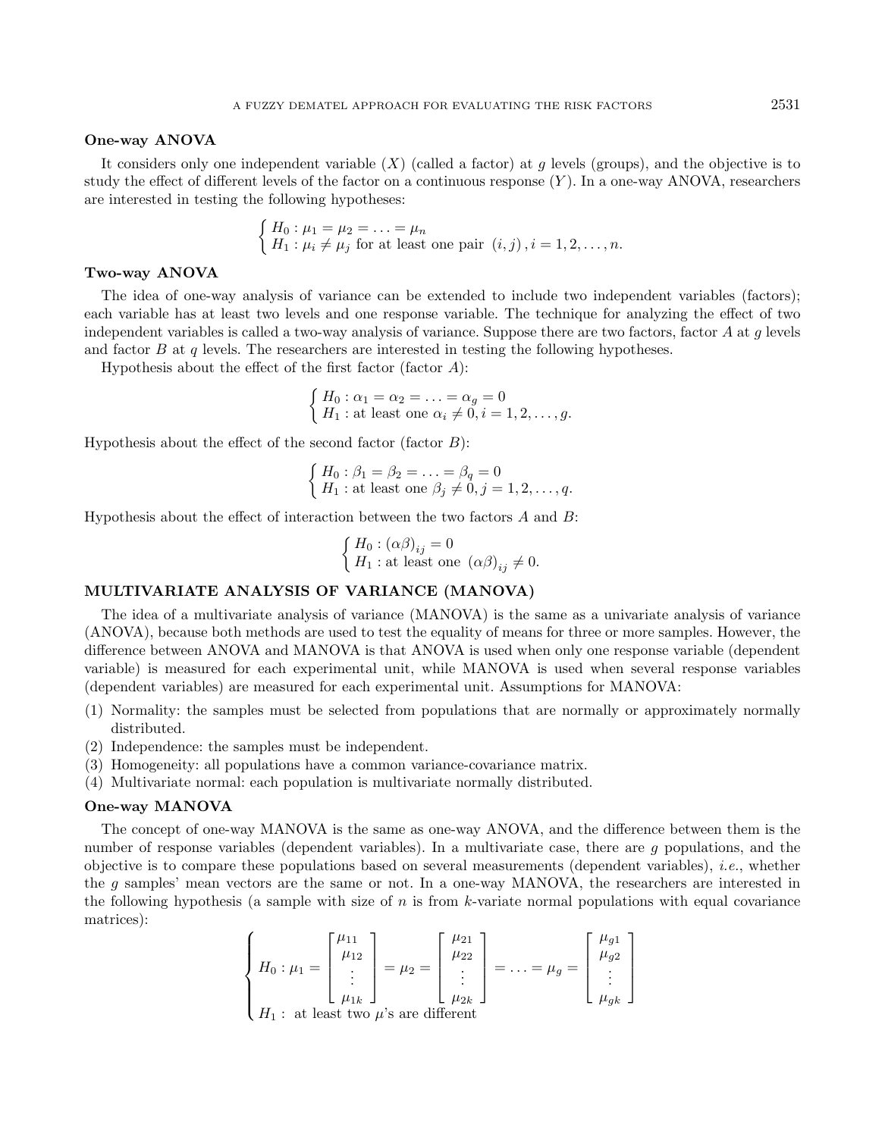#### One-way ANOVA

It considers only one independent variable  $(X)$  (called a factor) at g levels (groups), and the objective is to study the effect of different levels of the factor on a continuous response  $(Y)$ . In a one-way ANOVA, researchers are interested in testing the following hypotheses:

$$
\begin{cases} H_0: \mu_1 = \mu_2 = \ldots = \mu_n \\ H_1: \mu_i \neq \mu_j \text{ for at least one pair } (i,j), i = 1, 2, \ldots, n. \end{cases}
$$

#### Two-way ANOVA

The idea of one-way analysis of variance can be extended to include two independent variables (factors); each variable has at least two levels and one response variable. The technique for analyzing the effect of two independent variables is called a two-way analysis of variance. Suppose there are two factors, factor  $A$  at  $g$  levels and factor  $B$  at  $q$  levels. The researchers are interested in testing the following hypotheses.

Hypothesis about the effect of the first factor (factor  $A$ ):

$$
\begin{cases} H_0: \alpha_1 = \alpha_2 = \ldots = \alpha_g = 0 \\ H_1: \text{at least one } \alpha_i \neq 0, i = 1, 2, \ldots, g. \end{cases}
$$

Hypothesis about the effect of the second factor (factor  $B$ ):

$$
\begin{cases} H_0: \beta_1 = \beta_2 = \ldots = \beta_q = 0 \\ H_1: \text{at least one } \beta_j \neq 0, j = 1, 2, \ldots, q. \end{cases}
$$

Hypothesis about the effect of interaction between the two factors  $A$  and  $B$ :

$$
\begin{cases} H_0 : (\alpha \beta)_{ij} = 0 \\ H_1 : \text{at least one } (\alpha \beta)_{ij} \neq 0. \end{cases}
$$

## MULTIVARIATE ANALYSIS OF VARIANCE (MANOVA)

The idea of a multivariate analysis of variance (MANOVA) is the same as a univariate analysis of variance (ANOVA), because both methods are used to test the equality of means for three or more samples. However, the difference between ANOVA and MANOVA is that ANOVA is used when only one response variable (dependent variable) is measured for each experimental unit, while MANOVA is used when several response variables (dependent variables) are measured for each experimental unit. Assumptions for MANOVA:

- (1) Normality: the samples must be selected from populations that are normally or approximately normally distributed.
- (2) Independence: the samples must be independent.
- (3) Homogeneity: all populations have a common variance-covariance matrix.
- (4) Multivariate normal: each population is multivariate normally distributed.

#### One-way MANOVA

The concept of one-way MANOVA is the same as one-way ANOVA, and the difference between them is the number of response variables (dependent variables). In a multivariate case, there are g populations, and the objective is to compare these populations based on several measurements (dependent variables), i.e., whether the g samples' mean vectors are the same or not. In a one-way MANOVA, the researchers are interested in the following hypothesis (a sample with size of  $n$  is from  $k$ -variate normal populations with equal covariance matrices):

$$
\begin{cases}\nH_0: \mu_1 = \begin{bmatrix} \mu_{11} \\ \mu_{12} \\ \vdots \\ \mu_{1k} \end{bmatrix} = \mu_2 = \begin{bmatrix} \mu_{21} \\ \mu_{22} \\ \vdots \\ \mu_{2k} \end{bmatrix} = \ldots = \mu_g = \begin{bmatrix} \mu_{g1} \\ \mu_{g2} \\ \vdots \\ \mu_{gk} \end{bmatrix} \\
H_1: \text{ at least two } \mu \text{'s are different}\n\end{cases}
$$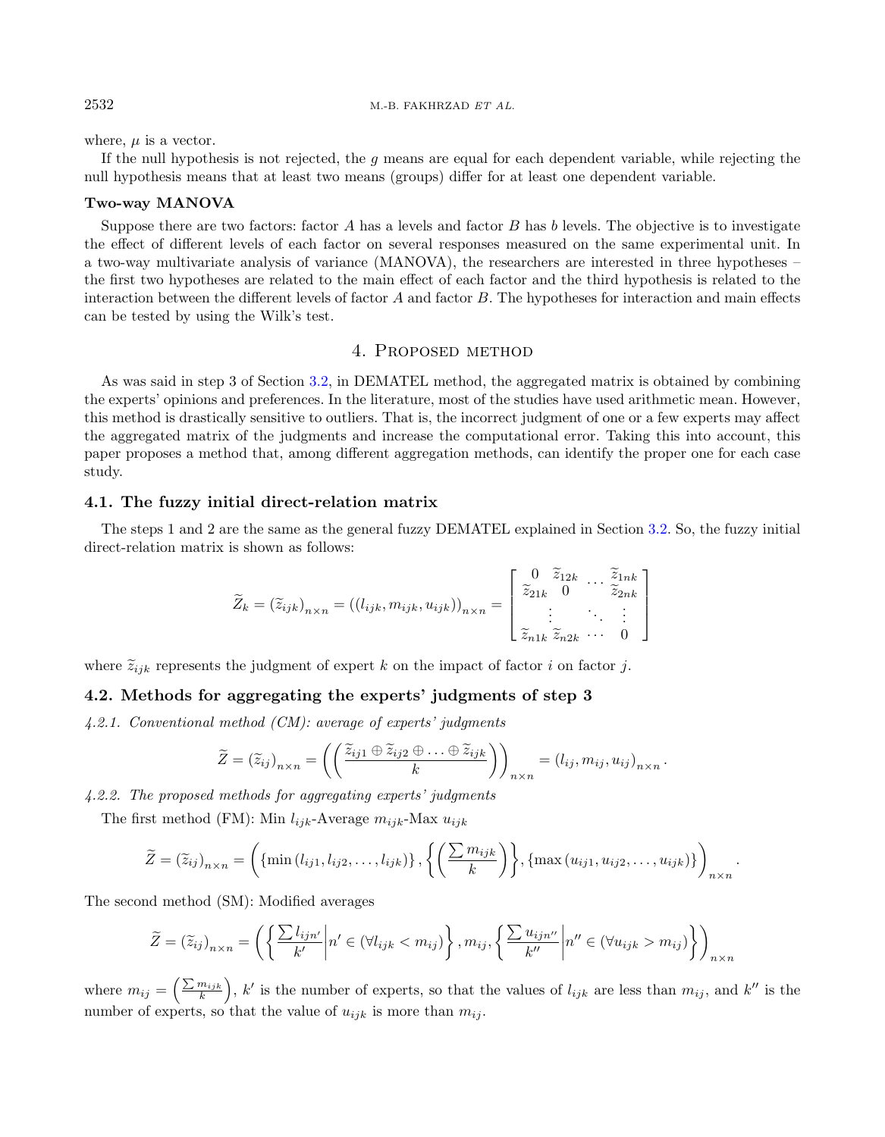where,  $\mu$  is a vector.

If the null hypothesis is not rejected, the q means are equal for each dependent variable, while rejecting the null hypothesis means that at least two means (groups) differ for at least one dependent variable.

#### Two-way MANOVA

Suppose there are two factors: factor A has a levels and factor B has b levels. The objective is to investigate the effect of different levels of each factor on several responses measured on the same experimental unit. In a two-way multivariate analysis of variance (MANOVA), the researchers are interested in three hypotheses – the first two hypotheses are related to the main effect of each factor and the third hypothesis is related to the interaction between the different levels of factor  $A$  and factor  $B$ . The hypotheses for interaction and main effects can be tested by using the Wilk's test.

## 4. Proposed method

As was said in step 3 of Section [3.2,](#page-3-1) in DEMATEL method, the aggregated matrix is obtained by combining the experts' opinions and preferences. In the literature, most of the studies have used arithmetic mean. However, this method is drastically sensitive to outliers. That is, the incorrect judgment of one or a few experts may affect the aggregated matrix of the judgments and increase the computational error. Taking this into account, this paper proposes a method that, among different aggregation methods, can identify the proper one for each case study.

### 4.1. The fuzzy initial direct-relation matrix

The steps 1 and 2 are the same as the general fuzzy DEMATEL explained in Section [3.2.](#page-3-1) So, the fuzzy initial direct-relation matrix is shown as follows:

$$
\widetilde{Z}_k = \left(\widetilde{z}_{ijk}\right)_{n \times n} = \left(\left(l_{ijk}, m_{ijk}, u_{ijk}\right)\right)_{n \times n} = \begin{bmatrix} 0 & \widetilde{z}_{12k} & \cdots & \widetilde{z}_{1nk} \\ \widetilde{z}_{21k} & 0 & \cdots & \widetilde{z}_{2nk} \\ \vdots & \ddots & \vdots \\ \widetilde{z}_{n1k} & \widetilde{z}_{n2k} & \cdots & 0 \end{bmatrix}
$$

where  $\tilde{z}_{ijk}$  represents the judgment of expert k on the impact of factor i on factor j.

## <span id="page-7-0"></span>4.2. Methods for aggregating the experts' judgments of step 3

4.2.1. Conventional method (CM): average of experts' judgments

$$
\widetilde{Z} = (\widetilde{z}_{ij})_{n \times n} = \left( \left( \frac{\widetilde{z}_{ij1} \oplus \widetilde{z}_{ij2} \oplus \ldots \oplus \widetilde{z}_{ijk}}{k} \right) \right)_{n \times n} = (l_{ij}, m_{ij}, u_{ij})_{n \times n}.
$$

4.2.2. The proposed methods for aggregating experts' judgments

The first method (FM): Min  $l_{ijk}$ -Average  $m_{ijk}$ -Max  $u_{ijk}$ 

$$
\widetilde{Z} = (\widetilde{z}_{ij})_{n \times n} = \left( \{ \min(l_{ij1}, l_{ij2}, \ldots, l_{ijk}) \} , \left\{ \left( \frac{\sum m_{ijk}}{k} \right) \right\}, \{ \max(u_{ij1}, u_{ij2}, \ldots, u_{ijk}) \} \right)_{n \times n}.
$$

The second method (SM): Modified averages

$$
\widetilde{Z} = (\widetilde{z}_{ij})_{n \times n} = \left( \left\{ \frac{\sum l_{ijn'} }{k'} \middle| n' \in (\forall l_{ijk} < m_{ij}) \right\}, m_{ij}, \left\{ \frac{\sum u_{ijn''} }{k''} \middle| n'' \in (\forall u_{ijk} > m_{ij}) \right\} \right)_{n \times n}
$$

where  $m_{ij} = \left(\frac{\sum m_{ijk}}{k}\right)$ , k' is the number of experts, so that the values of  $l_{ijk}$  are less than  $m_{ij}$ , and k'' is the number of experts, so that the value of  $u_{ijk}$  is more than  $m_{ij}$ .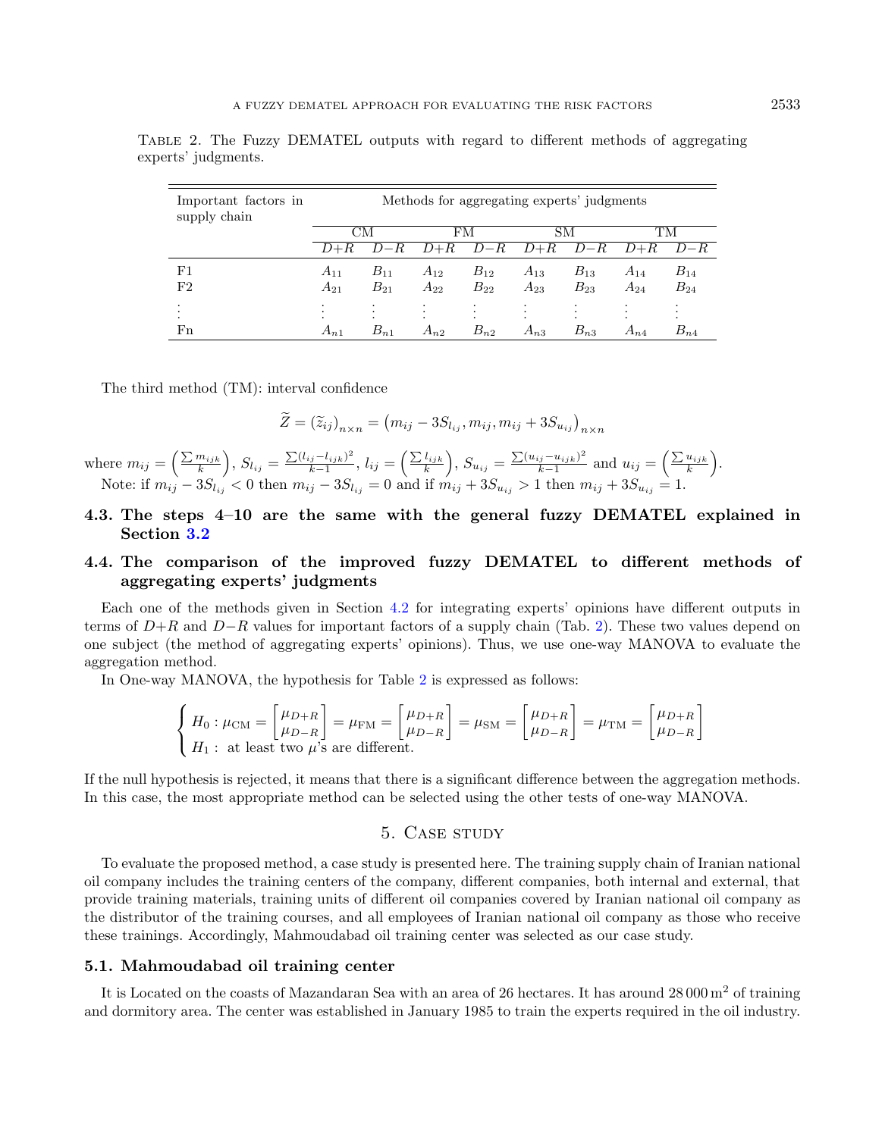<span id="page-8-0"></span>Table 2. The Fuzzy DEMATEL outputs with regard to different methods of aggregating experts' judgments.

| Important factors in<br>supply chain |          | Methods for aggregating experts' judgments |          |              |          |                          |          |          |  |
|--------------------------------------|----------|--------------------------------------------|----------|--------------|----------|--------------------------|----------|----------|--|
|                                      |          | CМ                                         |          | FM           | SМ       |                          |          | TМ       |  |
|                                      | D+R      | $D - R$                                    | D+R      | $D - R$      | $D+R$    | $D - R$                  | $D+R$    | $D - R$  |  |
| F1                                   | $A_{11}$ | $B_{11}$                                   | $A_{12}$ | $B_{12}$     | $A_{13}$ | $B_{13}$                 | $A_{14}$ | $B_{14}$ |  |
| F2                                   | $A_{21}$ | $B_{21}$                                   | $A_{22}$ | $B_{22}$     | $A_{23}$ | $B_{23}$                 | $A_{24}$ | $B_{24}$ |  |
|                                      | ٠        |                                            |          | ٠<br>$\cdot$ | ۰<br>٠   | ۰<br>$\hat{\phantom{a}}$ |          |          |  |
| $_{\rm Fn}$                          | $A_{n1}$ | $B_{n1}$                                   | $A_{n2}$ | $B_{n2}$     | $A_{n3}$ | $B_{n3}$                 | $A_{n4}$ | $B_{n4}$ |  |

The third method (TM): interval confidence

$$
\widetilde{Z} = (\widetilde{z}_{ij})_{n \times n} = (m_{ij} - 3S_{l_{ij}}, m_{ij}, m_{ij} + 3S_{u_{ij}})_{n \times n}
$$

where  $m_{ij} = \left(\frac{\sum m_{ijk}}{k}\right), S_{l_{ij}} = \frac{\sum (l_{ij} - l_{ijk})^2}{k-1}$  $\frac{(x_i - l_{ijk})^2}{k-1}, l_{ij} = \left(\frac{\sum l_{ijk}}{k}\right), S_{u_{ij}} = \frac{\sum (u_{ij} - u_{ijk})^2}{k-1}$  $\frac{(u_{ijk}-u_{ijk})^2}{k-1}$  and  $u_{ij} = \left(\frac{\sum u_{ijk}}{k}\right)$ . Note: if  $m_{ij} - 3S_{l_{ij}} < 0$  then  $m_{ij} - 3S_{l_{ij}} = 0$  and if  $m_{ij} + 3S_{u_{ij}} > 1$  then  $m_{ij} + 3S_{u_{ij}} = 1$ .

## 4.3. The steps 4–10 are the same with the general fuzzy DEMATEL explained in Section [3.2](#page-3-1)

## <span id="page-8-1"></span>4.4. The comparison of the improved fuzzy DEMATEL to different methods of aggregating experts' judgments

Each one of the methods given in Section [4.2](#page-7-0) for integrating experts' opinions have different outputs in terms of  $D+R$  and  $D-R$  values for important factors of a supply chain (Tab. [2\)](#page-8-0). These two values depend on one subject (the method of aggregating experts' opinions). Thus, we use one-way MANOVA to evaluate the aggregation method.

In One-way MANOVA, the hypothesis for Table [2](#page-8-0) is expressed as follows:

$$
\begin{cases}\nH_0: \mu_{\rm CM} = \begin{bmatrix} \mu_{D+R} \\ \mu_{D-R} \end{bmatrix} = \mu_{\rm FM} = \begin{bmatrix} \mu_{D+R} \\ \mu_{D-R} \end{bmatrix} = \mu_{\rm SM} = \begin{bmatrix} \mu_{D+R} \\ \mu_{D-R} \end{bmatrix} = \mu_{\rm TM} = \begin{bmatrix} \mu_{D+R} \\ \mu_{D-R} \end{bmatrix}
$$
\n
$$
H_1: \text{ at least two } \mu\text{'s are different.}
$$

If the null hypothesis is rejected, it means that there is a significant difference between the aggregation methods. In this case, the most appropriate method can be selected using the other tests of one-way MANOVA.

## 5. CASE STUDY

To evaluate the proposed method, a case study is presented here. The training supply chain of Iranian national oil company includes the training centers of the company, different companies, both internal and external, that provide training materials, training units of different oil companies covered by Iranian national oil company as the distributor of the training courses, and all employees of Iranian national oil company as those who receive these trainings. Accordingly, Mahmoudabad oil training center was selected as our case study.

#### 5.1. Mahmoudabad oil training center

It is Located on the coasts of Mazandaran Sea with an area of 26 hectares. It has around 28 000 m<sup>2</sup> of training and dormitory area. The center was established in January 1985 to train the experts required in the oil industry.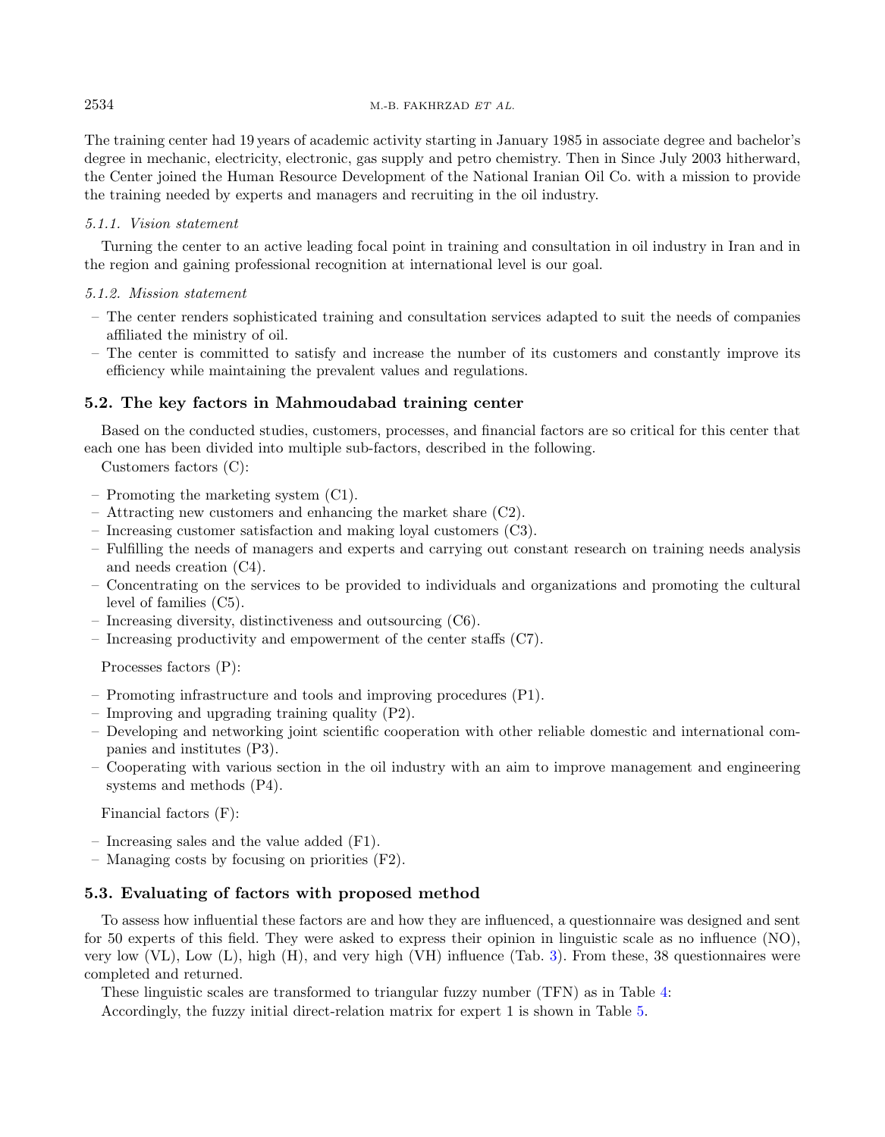The training center had 19 years of academic activity starting in January 1985 in associate degree and bachelor's degree in mechanic, electricity, electronic, gas supply and petro chemistry. Then in Since July 2003 hitherward, the Center joined the Human Resource Development of the National Iranian Oil Co. with a mission to provide the training needed by experts and managers and recruiting in the oil industry.

## 5.1.1. Vision statement

Turning the center to an active leading focal point in training and consultation in oil industry in Iran and in the region and gaining professional recognition at international level is our goal.

## 5.1.2. Mission statement

- The center renders sophisticated training and consultation services adapted to suit the needs of companies affiliated the ministry of oil.
- The center is committed to satisfy and increase the number of its customers and constantly improve its efficiency while maintaining the prevalent values and regulations.

## 5.2. The key factors in Mahmoudabad training center

Based on the conducted studies, customers, processes, and financial factors are so critical for this center that each one has been divided into multiple sub-factors, described in the following.

Customers factors (C):

- Promoting the marketing system (C1).
- Attracting new customers and enhancing the market share (C2).
- Increasing customer satisfaction and making loyal customers (C3).
- Fulfilling the needs of managers and experts and carrying out constant research on training needs analysis and needs creation (C4).
- Concentrating on the services to be provided to individuals and organizations and promoting the cultural level of families (C5).
- Increasing diversity, distinctiveness and outsourcing (C6).
- Increasing productivity and empowerment of the center staffs (C7).

Processes factors (P):

- Promoting infrastructure and tools and improving procedures (P1).
- Improving and upgrading training quality (P2).
- Developing and networking joint scientific cooperation with other reliable domestic and international companies and institutes (P3).
- Cooperating with various section in the oil industry with an aim to improve management and engineering systems and methods (P4).

Financial factors (F):

- Increasing sales and the value added (F1).
- Managing costs by focusing on priorities (F2).

### 5.3. Evaluating of factors with proposed method

To assess how influential these factors are and how they are influenced, a questionnaire was designed and sent for 50 experts of this field. They were asked to express their opinion in linguistic scale as no influence (NO), very low (VL), Low (L), high (H), and very high (VH) influence (Tab. [3\)](#page-10-0). From these, 38 questionnaires were completed and returned.

These linguistic scales are transformed to triangular fuzzy number (TFN) as in Table [4:](#page-10-1)

Accordingly, the fuzzy initial direct-relation matrix for expert 1 is shown in Table [5.](#page-10-2)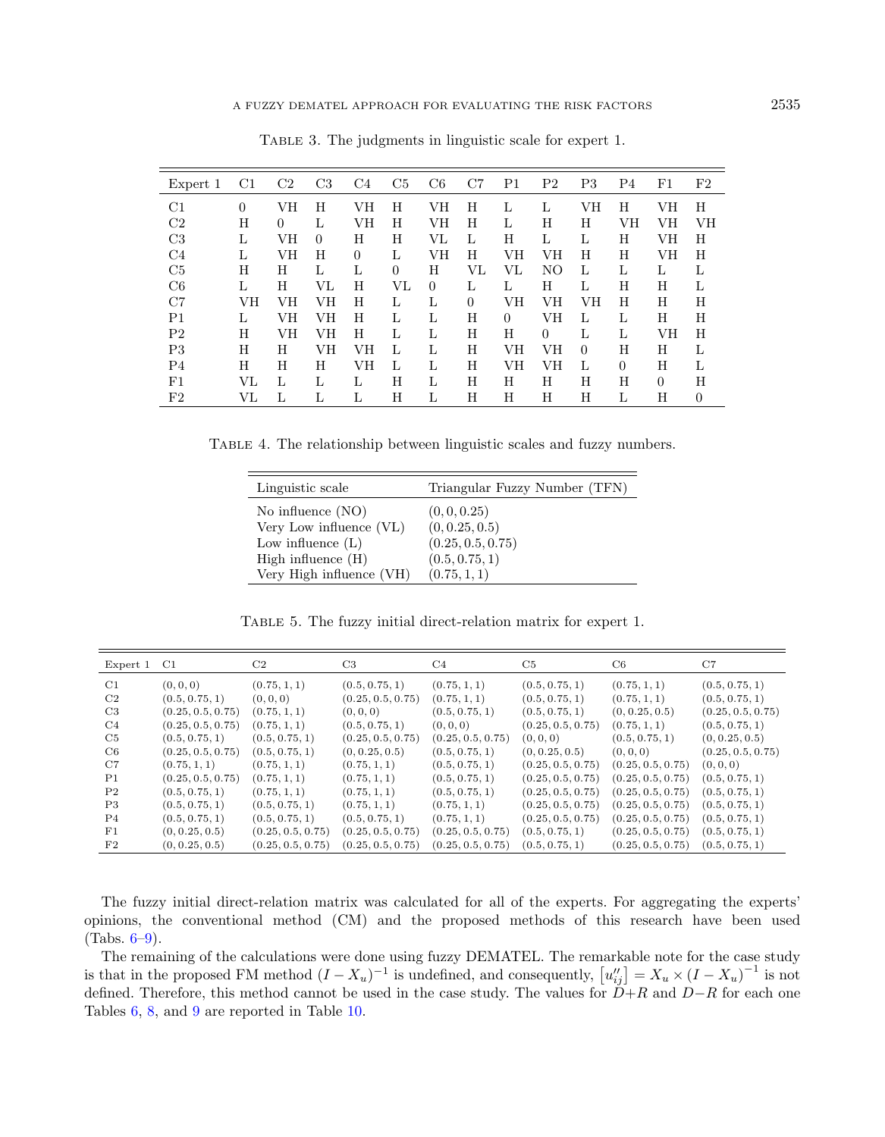| Expert 1       | $_{\rm C1}$ | C2 | C <sub>3</sub> | C4             | C <sub>5</sub> | C <sub>6</sub> | C7       | P1             | P2       | P3       | P4 | $_{\rm F1}$ | $_{\rm F2}$    |
|----------------|-------------|----|----------------|----------------|----------------|----------------|----------|----------------|----------|----------|----|-------------|----------------|
| C1             | $\theta$    | VH | H              | VH             | H              | VH             | H        | L              | L        | VH       | H  | VН          | H              |
| C <sub>2</sub> | Н           | 0  | L              | VH             | H              | VH             | H        | L              | Η        | Н        | VH | VH          | VH             |
| C <sub>3</sub> | L           | VН | $\Omega$       | H              | H              | VL             | L        | H              | L        | L        | H  | VH          | H              |
| C4             | L           | VН | Н              | $\overline{0}$ | L              | VН             | Н        | VH             | VН       | Н        | Н  | VН          | Η              |
| C <sub>5</sub> | H           | H  | L              | L              | $\overline{0}$ | H              | VL       | VL             | NO       | L        | L  | L           | L              |
| C6             | L           | Н  | VL             | Н              | VL             | $\theta$       | L        | L              | Η        | L        | Η  | Н           | L              |
| C7             | VH          | VH | VH             | H              | L              | L              | $\theta$ | VH             | VH       | VH       | H  | H           | H              |
| P1             | L           | VН | VН             | H              | L              | L              | Н        | $\overline{0}$ | VH       | L        | L  | Н           | Η              |
| P <sub>2</sub> | H           | VH | VH             | H              | L              | L              | H        | Н              | $\Omega$ | L        | L  | VH          | H              |
| P3             | H           | H  | VH             | VН             | L              | L              | H        | VH             | VH       | $\theta$ | H  | H           | L              |
| P <sub>4</sub> | Н           | Η  | H              | VH             | L              | L              | Η        | VH             | VН       | L        | 0  | Η           | L              |
| F1             | VL          | L  | L              | L              | H              | L              | H        | H              | H        | H        | H  | $\Omega$    | H              |
| F2             | VL          | L  | L              | L              | Η              | L              | Н        | Н              | Н        | Н        | L  | Н           | $\overline{0}$ |

<span id="page-10-1"></span><span id="page-10-0"></span>Table 3. The judgments in linguistic scale for expert 1.

Table 4. The relationship between linguistic scales and fuzzy numbers.

<span id="page-10-2"></span>

| Linguistic scale                                 | Triangular Fuzzy Number (TFN)  |
|--------------------------------------------------|--------------------------------|
| No influence $(NO)$<br>Very Low influence $(VL)$ | (0, 0, 0.25)<br>(0, 0.25, 0.5) |
| Low influence $(L)$                              | (0.25, 0.5, 0.75)              |
| High influence $(H)$                             | (0.5, 0.75, 1)                 |
| Very High influence (VH)                         | (0.75, 1, 1)                   |

Table 5. The fuzzy initial direct-relation matrix for expert 1.

| Expert 1 C1    |                   | C2                | C3                | C4                | C5                | C6                | C7                |
|----------------|-------------------|-------------------|-------------------|-------------------|-------------------|-------------------|-------------------|
| C1             | (0, 0, 0)         | (0.75, 1, 1)      | (0.5, 0.75, 1)    | (0.75, 1, 1)      | (0.5, 0.75, 1)    | (0.75, 1, 1)      | (0.5, 0.75, 1)    |
| C2             | (0.5, 0.75, 1)    | (0, 0, 0)         | (0.25, 0.5, 0.75) | (0.75, 1, 1)      | (0.5, 0.75, 1)    | (0.75, 1, 1)      | (0.5, 0.75, 1)    |
| C <sub>3</sub> | (0.25, 0.5, 0.75) | (0.75, 1, 1)      | (0, 0, 0)         | (0.5, 0.75, 1)    | (0.5, 0.75, 1)    | (0, 0.25, 0.5)    | (0.25, 0.5, 0.75) |
| C4             | (0.25, 0.5, 0.75) | (0.75, 1, 1)      | (0.5, 0.75, 1)    | (0, 0, 0)         | (0.25, 0.5, 0.75) | (0.75, 1, 1)      | (0.5, 0.75, 1)    |
| C5             | (0.5, 0.75, 1)    | (0.5, 0.75, 1)    | (0.25, 0.5, 0.75) | (0.25, 0.5, 0.75) | (0, 0, 0)         | (0.5, 0.75, 1)    | (0, 0.25, 0.5)    |
| C6             | (0.25, 0.5, 0.75) | (0.5, 0.75, 1)    | (0, 0.25, 0.5)    | (0.5, 0.75, 1)    | (0, 0.25, 0.5)    | (0, 0, 0)         | (0.25, 0.5, 0.75) |
| C7             | (0.75, 1, 1)      | (0.75, 1, 1)      | (0.75, 1, 1)      | (0.5, 0.75, 1)    | (0.25, 0.5, 0.75) | (0.25, 0.5, 0.75) | (0, 0, 0)         |
| P <sub>1</sub> | (0.25, 0.5, 0.75) | (0.75, 1, 1)      | (0.75, 1, 1)      | (0.5, 0.75, 1)    | (0.25, 0.5, 0.75) | (0.25, 0.5, 0.75) | (0.5, 0.75, 1)    |
| P <sub>2</sub> | (0.5, 0.75, 1)    | (0.75, 1, 1)      | (0.75, 1, 1)      | (0.5, 0.75, 1)    | (0.25, 0.5, 0.75) | (0.25, 0.5, 0.75) | (0.5, 0.75, 1)    |
| P3             | (0.5, 0.75, 1)    | (0.5, 0.75, 1)    | (0.75, 1, 1)      | (0.75, 1, 1)      | (0.25, 0.5, 0.75) | (0.25, 0.5, 0.75) | (0.5, 0.75, 1)    |
| P <sub>4</sub> | (0.5, 0.75, 1)    | (0.5, 0.75, 1)    | (0.5, 0.75, 1)    | (0.75, 1, 1)      | (0.25, 0.5, 0.75) | (0.25, 0.5, 0.75) | (0.5, 0.75, 1)    |
| $_{\rm F1}$    | (0, 0.25, 0.5)    | (0.25, 0.5, 0.75) | (0.25, 0.5, 0.75) | (0.25, 0.5, 0.75) | (0.5, 0.75, 1)    | (0.25, 0.5, 0.75) | (0.5, 0.75, 1)    |
| $_{\rm F2}$    | (0, 0.25, 0.5)    | (0.25, 0.5, 0.75) | (0.25, 0.5, 0.75) | (0.25, 0.5, 0.75) | (0.5, 0.75, 1)    | (0.25, 0.5, 0.75) | (0.5, 0.75, 1)    |

The fuzzy initial direct-relation matrix was calculated for all of the experts. For aggregating the experts' opinions, the conventional method (CM) and the proposed methods of this research have been used  $(Tabs. 6-9).$  $(Tabs. 6-9).$  $(Tabs. 6-9).$ 

The remaining of the calculations were done using fuzzy DEMATEL. The remarkable note for the case study is that in the proposed FM method  $(I - X_u)^{-1}$  is undefined, and consequently,  $[u''_{ij}] = X_u \times (I - X_u)^{-1}$  is not defined. Therefore, this method cannot be used in the case study. The values for  $D+R$  and  $D-R$  for each one Tables [6,](#page-11-0) [8,](#page-13-1) and [9](#page-13-0) are reported in Table [10.](#page-14-0)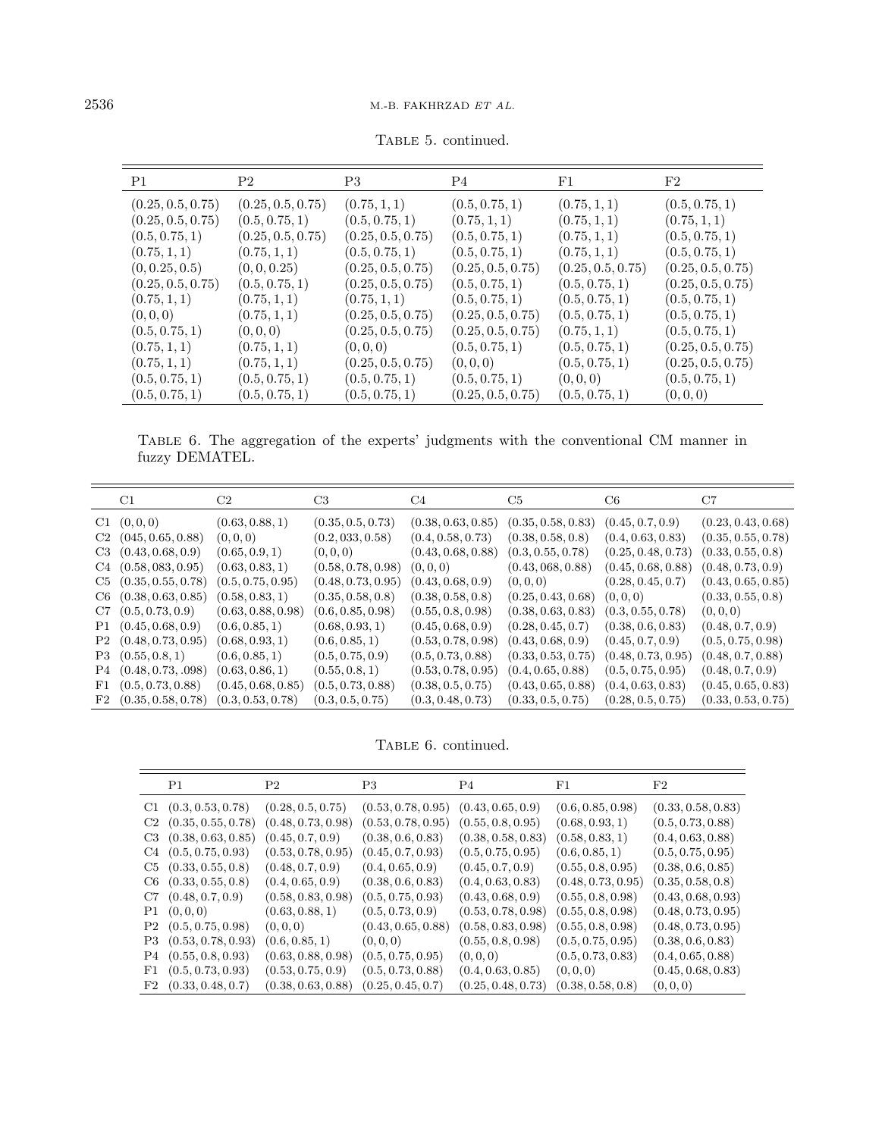<span id="page-11-0"></span>

| P1                | P <sub>2</sub>    | P <sub>3</sub>    | P4                | $_{\rm F1}$       | F2                |
|-------------------|-------------------|-------------------|-------------------|-------------------|-------------------|
| (0.25, 0.5, 0.75) | (0.25, 0.5, 0.75) | (0.75, 1, 1)      | (0.5, 0.75, 1)    | (0.75, 1, 1)      | (0.5, 0.75, 1)    |
| (0.25, 0.5, 0.75) | (0.5, 0.75, 1)    | (0.5, 0.75, 1)    | (0.75, 1, 1)      | (0.75, 1, 1)      | (0.75, 1, 1)      |
| (0.5, 0.75, 1)    | (0.25, 0.5, 0.75) | (0.25, 0.5, 0.75) | (0.5, 0.75, 1)    | (0.75, 1, 1)      | (0.5, 0.75, 1)    |
| (0.75, 1, 1)      | (0.75, 1, 1)      | (0.5, 0.75, 1)    | (0.5, 0.75, 1)    | (0.75, 1, 1)      | (0.5, 0.75, 1)    |
| (0, 0.25, 0.5)    | (0, 0, 0.25)      | (0.25, 0.5, 0.75) | (0.25, 0.5, 0.75) | (0.25, 0.5, 0.75) | (0.25, 0.5, 0.75) |
| (0.25, 0.5, 0.75) | (0.5, 0.75, 1)    | (0.25, 0.5, 0.75) | (0.5, 0.75, 1)    | (0.5, 0.75, 1)    | (0.25, 0.5, 0.75) |
| (0.75, 1, 1)      | (0.75, 1, 1)      | (0.75, 1, 1)      | (0.5, 0.75, 1)    | (0.5, 0.75, 1)    | (0.5, 0.75, 1)    |
| (0,0,0)           | (0.75, 1, 1)      | (0.25, 0.5, 0.75) | (0.25, 0.5, 0.75) | (0.5, 0.75, 1)    | (0.5, 0.75, 1)    |
| (0.5, 0.75, 1)    | (0,0,0)           | (0.25, 0.5, 0.75) | (0.25, 0.5, 0.75) | (0.75, 1, 1)      | (0.5, 0.75, 1)    |
| (0.75, 1, 1)      | (0.75, 1, 1)      | (0,0,0)           | (0.5, 0.75, 1)    | (0.5, 0.75, 1)    | (0.25, 0.5, 0.75) |
| (0.75, 1, 1)      | (0.75, 1, 1)      | (0.25, 0.5, 0.75) | (0,0,0)           | (0.5, 0.75, 1)    | (0.25, 0.5, 0.75) |
| (0.5, 0.75, 1)    | (0.5, 0.75, 1)    | (0.5, 0.75, 1)    | (0.5, 0.75, 1)    | (0, 0, 0)         | (0.5, 0.75, 1)    |
| (0.5,0.75,1)      | (0.5,0.75,1)      | (0.5, 0.75, 1)    | (0.25, 0.5, 0.75) | (0.5, 0.75, 1)    | (0,0,0)           |

TABLE 5. continued.

Table 6. The aggregation of the experts' judgments with the conventional CM manner in fuzzy DEMATEL.

|    | C1                        | C2                 | C <sub>3</sub>     | C4                 | C5                 | C6                 | C7                 |
|----|---------------------------|--------------------|--------------------|--------------------|--------------------|--------------------|--------------------|
|    | C1 (0,0,0)                | (0.63, 0.88, 1)    | (0.35, 0.5, 0.73)  | (0.38, 0.63, 0.85) | (0.35, 0.58, 0.83) | (0.45, 0.7, 0.9)   | (0.23, 0.43, 0.68) |
|    | $C2$ $(045, 0.65, 0.88)$  | (0,0,0)            | (0.2, 033, 0.58)   | (0.4, 0.58, 0.73)  | (0.38, 0.58, 0.8)  | (0.4, 0.63, 0.83)  | (0.35, 0.55, 0.78) |
|    | $C3$ $(0.43, 0.68, 0.9)$  | (0.65, 0.9, 1)     | (0,0,0)            | (0.43, 0.68, 0.88) | (0.3, 0.55, 0.78)  | (0.25, 0.48, 0.73) | (0.33, 0.55, 0.8)  |
| C4 | (0.58, 0.83, 0.95)        | (0.63, 0.83, 1)    | (0.58, 0.78, 0.98) | (0,0,0)            | (0.43, 068, 0.88)  | (0.45, 0.68, 0.88) | (0.48, 0.73, 0.9)  |
| C5 | (0.35, 0.55, 0.78)        | (0.5, 0.75, 0.95)  | (0.48, 0.73, 0.95) | (0.43, 0.68, 0.9)  | (0,0,0)            | (0.28, 0.45, 0.7)  | (0.43, 0.65, 0.85) |
| C6 | (0.38, 0.63, 0.85)        | (0.58, 0.83, 1)    | (0.35, 0.58, 0.8)  | (0.38, 0.58, 0.8)  | (0.25, 0.43, 0.68) | (0,0,0)            | (0.33, 0.55, 0.8)  |
|    | $C7$ $(0.5, 0.73, 0.9)$   | (0.63, 0.88, 0.98) | (0.6, 0.85, 0.98)  | (0.55, 0.8, 0.98)  | (0.38, 0.63, 0.83) | (0.3, 0.55, 0.78)  | (0, 0, 0)          |
|    | P1 (0.45, 0.68, 0.9)      | (0.6, 0.85, 1)     | (0.68, 0.93, 1)    | (0.45, 0.68, 0.9)  | (0.28, 0.45, 0.7)  | (0.38, 0.6, 0.83)  | (0.48, 0.7, 0.9)   |
|    | P2 (0.48, 0.73, 0.95)     | (0.68, 0.93, 1)    | (0.6, 0.85, 1)     | (0.53, 0.78, 0.98) | (0.43, 0.68, 0.9)  | (0.45, 0.7, 0.9)   | (0.5, 0.75, 0.98)  |
|    | P3(0.55, 0.8, 1)          | (0.6, 0.85, 1)     | (0.5, 0.75, 0.9)   | (0.5, 0.73, 0.88)  | (0.33, 0.53, 0.75) | (0.48, 0.73, 0.95) | (0.48, 0.7, 0.88)  |
| P4 | (0.48, 0.73, .098)        | (0.63, 0.86, 1)    | (0.55, 0.8, 1)     | (0.53, 0.78, 0.95) | (0.4, 0.65, 0.88)  | (0.5, 0.75, 0.95)  | (0.48, 0.7, 0.9)   |
| F1 | (0.5, 0.73, 0.88)         | (0.45, 0.68, 0.85) | (0.5, 0.73, 0.88)  | (0.38, 0.5, 0.75)  | (0.43, 0.65, 0.88) | (0.4, 0.63, 0.83)  | (0.45, 0.65, 0.83) |
|    | $F2$ $(0.35, 0.58, 0.78)$ | (0.3, 0.53, 0.78)  | (0.3, 0.5, 0.75)   | (0.3, 0.48, 0.73)  | (0.33, 0.5, 0.75)  | (0.28, 0.5, 0.75)  | (0.33, 0.53, 0.75) |

TABLE 6. continued.

|                 | P1                       | P <sub>2</sub>     | P <sub>3</sub>     | P4                 | $_{\rm F1}$        | F2                 |
|-----------------|--------------------------|--------------------|--------------------|--------------------|--------------------|--------------------|
|                 | $C1$ $(0.3, 0.53, 0.78)$ | (0.28, 0.5, 0.75)  | (0.53, 0.78, 0.95) | (0.43, 0.65, 0.9)  | (0.6, 0.85, 0.98)  | (0.33, 0.58, 0.83) |
| $\mathrm{C}2^-$ | (0.35, 0.55, 0.78)       | (0.48, 0.73, 0.98) | (0.53, 0.78, 0.95) | (0.55, 0.8, 0.95)  | (0.68, 0.93, 1)    | (0.5, 0.73, 0.88)  |
| C3              | (0.38, 0.63, 0.85)       | (0.45, 0.7, 0.9)   | (0.38, 0.6, 0.83)  | (0.38, 0.58, 0.83) | (0.58, 0.83, 1)    | (0.4, 0.63, 0.88)  |
|                 | $C4$ $(0.5, 0.75, 0.93)$ | (0.53, 0.78, 0.95) | (0.45, 0.7, 0.93)  | (0.5, 0.75, 0.95)  | (0.6, 0.85, 1)     | (0.5, 0.75, 0.95)  |
| C5              | (0.33, 0.55, 0.8)        | (0.48, 0.7, 0.9)   | (0.4, 0.65, 0.9)   | (0.45, 0.7, 0.9)   | (0.55, 0.8, 0.95)  | (0.38, 0.6, 0.85)  |
|                 | $C6$ $(0.33, 0.55, 0.8)$ | (0.4, 0.65, 0.9)   | (0.38, 0.6, 0.83)  | (0.4, 0.63, 0.83)  | (0.48, 0.73, 0.95) | (0.35, 0.58, 0.8)  |
| C7              | (0.48, 0.7, 0.9)         | (0.58, 0.83, 0.98) | (0.5, 0.75, 0.93)  | (0.43, 0.68, 0.9)  | (0.55, 0.8, 0.98)  | (0.43, 0.68, 0.93) |
|                 | P1 (0,0,0)               | (0.63, 0.88, 1)    | (0.5, 0.73, 0.9)   | (0.53, 0.78, 0.98) | (0.55, 0.8, 0.98)  | (0.48, 0.73, 0.95) |
| $\mathrm{P}2$   | (0.5, 0.75, 0.98)        | (0,0,0)            | (0.43, 0.65, 0.88) | (0.58, 0.83, 0.98) | (0.55, 0.8, 0.98)  | (0.48, 0.73, 0.95) |
| P3              | (0.53, 0.78, 0.93)       | (0.6, 0.85, 1)     | (0,0,0)            | (0.55, 0.8, 0.98)  | (0.5, 0.75, 0.95)  | (0.38, 0.6, 0.83)  |
| P4              | (0.55, 0.8, 0.93)        | (0.63, 0.88, 0.98) | (0.5, 0.75, 0.95)  | (0, 0, 0)          | (0.5, 0.73, 0.83)  | (0.4, 0.65, 0.88)  |
| F1              | (0.5, 0.73, 0.93)        | (0.53, 0.75, 0.9)  | (0.5, 0.73, 0.88)  | (0.4, 0.63, 0.85)  | (0,0,0)            | (0.45, 0.68, 0.83) |
| $_{\rm F2}$     | (0.33, 0.48, 0.7)        | (0.38, 0.63, 0.88) | (0.25, 0.45, 0.7)  | (0.25, 0.48, 0.73) | (0.38, 0.58, 0.8)  | (0,0,0)            |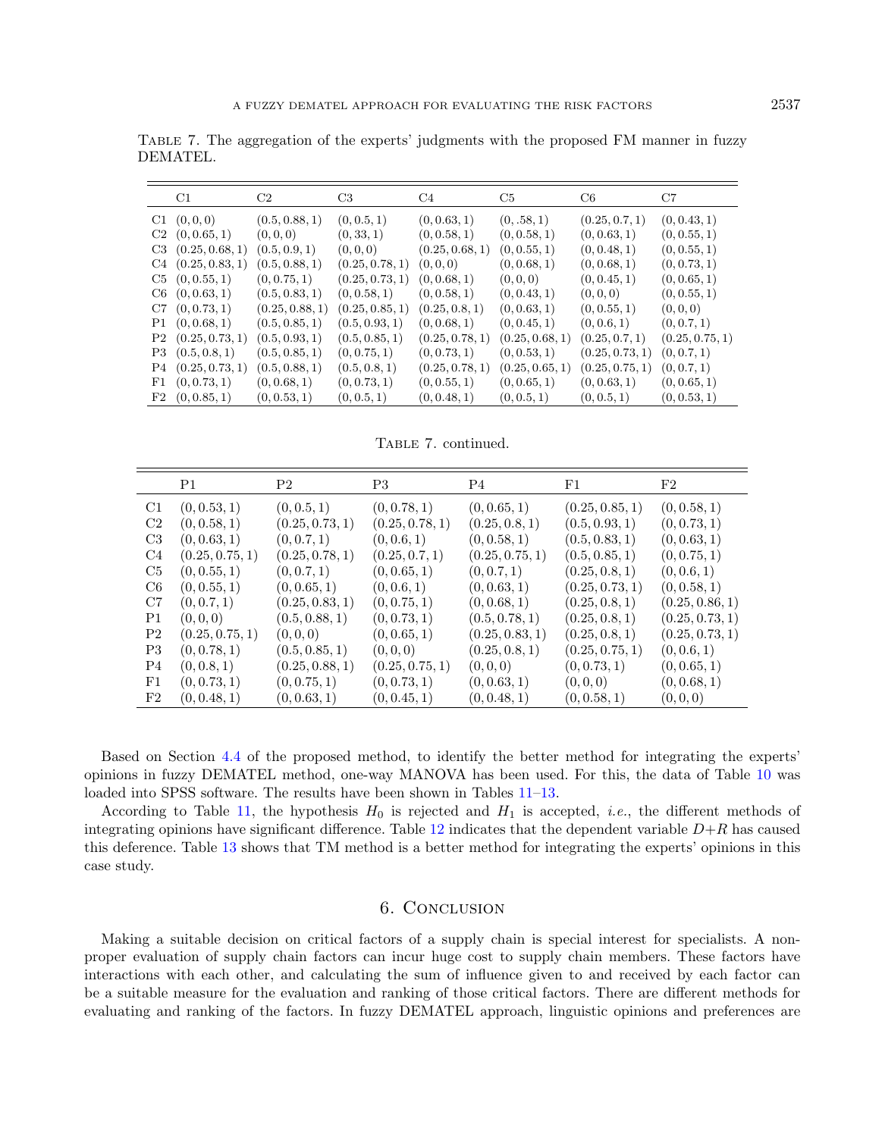Table 7. The aggregation of the experts' judgments with the proposed FM manner in fuzzy DEMATEL.

|    | C1                     | C2              | C <sub>3</sub>  | C4              | C5              | C <sub>6</sub>  | C7              |
|----|------------------------|-----------------|-----------------|-----------------|-----------------|-----------------|-----------------|
|    | C1 (0,0,0)             | (0.5, 0.88, 1)  | (0, 0.5, 1)     | (0, 0.63, 1)    | (0, .58, 1)     | (0.25, 0.7, 1)  | (0, 0.43, 1)    |
|    | $C2$ $(0, 0.65, 1)$    | (0,0,0)         | (0, 33, 1)      | (0, 0.58, 1)    | (0, 0.58, 1)    | (0, 0.63, 1)    | (0, 0.55, 1)    |
| C3 | (0.25, 0.68, 1)        | (0.5, 0.9, 1)   | (0,0,0)         | (0.25, 0.68, 1) | (0, 0.55, 1)    | (0, 0.48, 1)    | (0, 0.55, 1)    |
|    | $C4$ $(0.25, 0.83, 1)$ | (0.5, 0.88, 1)  | (0.25, 0.78, 1) | (0,0,0)         | (0, 0.68, 1)    | (0, 0.68, 1)    | (0, 0.73, 1)    |
|    | $C5$ $(0, 0.55, 1)$    | (0, 0.75, 1)    | (0.25, 0.73, 1) | (0, 0.68, 1)    | (0,0,0)         | (0, 0.45, 1)    | (0, 0.65, 1)    |
|    | $C6$ $(0, 0.63, 1)$    | (0.5, 0.83, 1)  | (0, 0.58, 1)    | (0, 0.58, 1)    | (0, 0.43, 1)    | (0,0,0)         | (0, 0.55, 1)    |
|    | $C7$ $(0, 0.73, 1)$    | (0.25, 0.88, 1) | (0.25, 0.85, 1) | (0.25, 0.8, 1)  | (0, 0.63, 1)    | (0, 0.55, 1)    | (0,0,0)         |
| P1 | (0, 0.68, 1)           | (0.5, 0.85, 1)  | (0.5, 0.93, 1)  | (0, 0.68, 1)    | (0, 0.45, 1)    | (0, 0.6, 1)     | (0, 0.7, 1)     |
| P2 | (0.25, 0.73, 1)        | (0.5, 0.93, 1)  | (0.5, 0.85, 1)  | (0.25, 0.78, 1) | (0.25, 0.68, 1) | (0.25, 0.7, 1)  | (0.25, 0.75, 1) |
| P3 | (0.5, 0.8, 1)          | (0.5, 0.85, 1)  | (0, 0.75, 1)    | (0, 0.73, 1)    | (0, 0.53, 1)    | (0.25, 0.73, 1) | (0, 0.7, 1)     |
| P4 | (0.25, 0.73, 1)        | (0.5, 0.88, 1)  | (0.5, 0.8, 1)   | (0.25, 0.78, 1) | (0.25, 0.65, 1) | (0.25, 0.75, 1) | (0, 0.7, 1)     |
| F1 | (0, 0.73, 1)           | (0, 0.68, 1)    | (0, 0.73, 1)    | (0, 0.55, 1)    | (0, 0.65, 1)    | (0, 0.63, 1)    | (0, 0.65, 1)    |
|    | F2 (0, 0.85, 1)        | (0, 0.53, 1)    | (0, 0.5, 1)     | (0, 0.48, 1)    | (0, 0.5, 1)     | (0, 0.5, 1)     | (0, 0.53, 1)    |

Table 7. continued.

|                | P1              | P <sub>2</sub>  | P <sub>3</sub>  | P4              | F1              | F2              |
|----------------|-----------------|-----------------|-----------------|-----------------|-----------------|-----------------|
| C1             | (0, 0.53, 1)    | (0, 0.5, 1)     | (0, 0.78, 1)    | (0, 0.65, 1)    | (0.25, 0.85, 1) | (0, 0.58, 1)    |
| C2             | (0, 0.58, 1)    | (0.25, 0.73, 1) | (0.25, 0.78, 1) | (0.25, 0.8, 1)  | (0.5, 0.93, 1)  | (0, 0.73, 1)    |
| C <sub>3</sub> | (0, 0.63, 1)    | (0, 0.7, 1)     | (0, 0.6, 1)     | (0, 0.58, 1)    | (0.5, 0.83, 1)  | (0, 0.63, 1)    |
| C4             | (0.25, 0.75, 1) | (0.25, 0.78, 1) | (0.25, 0.7, 1)  | (0.25, 0.75, 1) | (0.5, 0.85, 1)  | (0, 0.75, 1)    |
| C5             | (0, 0.55, 1)    | (0, 0.7, 1)     | (0, 0.65, 1)    | (0, 0.7, 1)     | (0.25, 0.8, 1)  | (0, 0.6, 1)     |
| C6             | (0, 0.55, 1)    | (0, 0.65, 1)    | (0, 0.6, 1)     | (0, 0.63, 1)    | (0.25, 0.73, 1) | (0, 0.58, 1)    |
| C7             | (0, 0.7, 1)     | (0.25, 0.83, 1) | (0, 0.75, 1)    | (0, 0.68, 1)    | (0.25, 0.8, 1)  | (0.25, 0.86, 1) |
| P1             | (0,0,0)         | (0.5, 0.88, 1)  | (0, 0.73, 1)    | (0.5, 0.78, 1)  | (0.25, 0.8, 1)  | (0.25, 0.73, 1) |
| P <sub>2</sub> | (0.25, 0.75, 1) | (0, 0, 0)       | (0, 0.65, 1)    | (0.25, 0.83, 1) | (0.25, 0.8, 1)  | (0.25, 0.73, 1) |
| P3             | (0, 0.78, 1)    | (0.5, 0.85, 1)  | (0,0,0)         | (0.25, 0.8, 1)  | (0.25, 0.75, 1) | (0, 0.6, 1)     |
| P4             | (0, 0.8, 1)     | (0.25, 0.88, 1) | (0.25, 0.75, 1) | (0,0,0)         | (0, 0.73, 1)    | (0, 0.65, 1)    |
| $_{\rm F1}$    | (0, 0.73, 1)    | (0, 0.75, 1)    | (0, 0.73, 1)    | (0, 0.63, 1)    | (0,0,0)         | (0, 0.68, 1)    |
| $_{\rm F2}$    | (0, 0.48, 1)    | (0, 0.63, 1)    | (0, 0.45, 1)    | (0, 0.48, 1)    | (0, 0.58, 1)    | (0, 0, 0)       |

Based on Section [4.4](#page-8-1) of the proposed method, to identify the better method for integrating the experts' opinions in fuzzy DEMATEL method, one-way MANOVA has been used. For this, the data of Table [10](#page-14-0) was loaded into SPSS software. The results have been shown in Tables [11–](#page-15-0)[13.](#page-16-18)

According to Table [11,](#page-15-0) the hypothesis  $H_0$  is rejected and  $H_1$  is accepted, *i.e.*, the different methods of integrating opinions have significant difference. Table [12](#page-15-1) indicates that the dependent variable  $D+R$  has caused this deference. Table [13](#page-16-18) shows that TM method is a better method for integrating the experts' opinions in this case study.

## 6. Conclusion

Making a suitable decision on critical factors of a supply chain is special interest for specialists. A nonproper evaluation of supply chain factors can incur huge cost to supply chain members. These factors have interactions with each other, and calculating the sum of influence given to and received by each factor can be a suitable measure for the evaluation and ranking of those critical factors. There are different methods for evaluating and ranking of the factors. In fuzzy DEMATEL approach, linguistic opinions and preferences are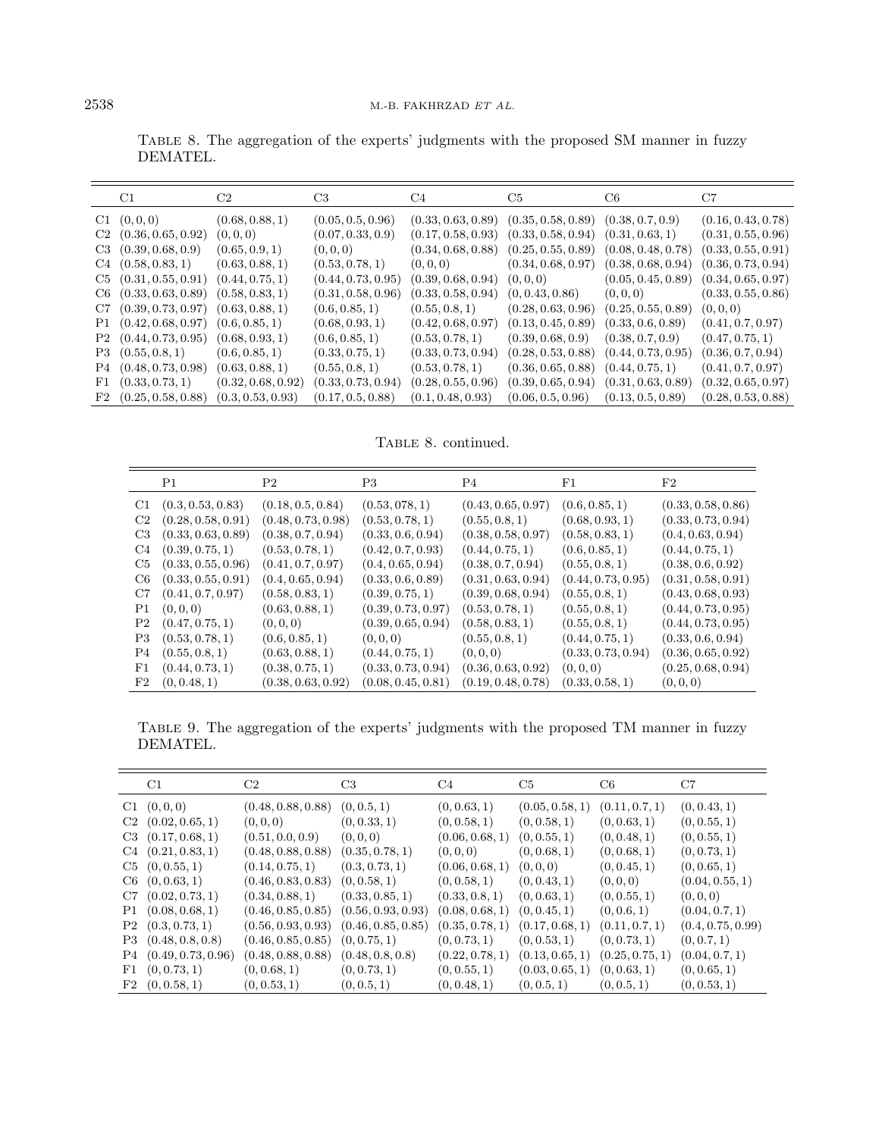|             | C1.                       | C2                 | C <sub>3</sub>     | C4                 | C5                                                           | C6                 | C7                 |
|-------------|---------------------------|--------------------|--------------------|--------------------|--------------------------------------------------------------|--------------------|--------------------|
|             | C1 (0,0,0)                | (0.68, 0.88, 1)    | (0.05, 0.5, 0.96)  |                    | $(0.33, 0.63, 0.89)$ $(0.35, 0.58, 0.89)$ $(0.38, 0.7, 0.9)$ |                    | (0.16, 0.43, 0.78) |
|             | $C2$ $(0.36, 0.65, 0.92)$ | (0, 0, 0)          | (0.07, 0.33, 0.9)  | (0.17, 0.58, 0.93) | (0.33, 0.58, 0.94)                                           | (0.31, 0.63, 1)    | (0.31, 0.55, 0.96) |
|             | $C3$ $(0.39, 0.68, 0.9)$  | (0.65, 0.9, 1)     | (0,0,0)            | (0.34, 0.68, 0.88) | (0.25, 0.55, 0.89)                                           | (0.08, 0.48, 0.78) | (0.33, 0.55, 0.91) |
| C4          | (0.58, 0.83, 1)           | (0.63, 0.88, 1)    | (0.53, 0.78, 1)    | (0,0,0)            | (0.34, 0.68, 0.97)                                           | (0.38, 0.68, 0.94) | (0.36, 0.73, 0.94) |
|             | $C5$ $(0.31, 0.55, 0.91)$ | (0.44, 0.75, 1)    | (0.44, 0.73, 0.95) | (0.39, 0.68, 0.94) | (0,0,0)                                                      | (0.05, 0.45, 0.89) | (0.34, 0.65, 0.97) |
|             | $C6$ $(0.33, 0.63, 0.89)$ | (0.58, 0.83, 1)    | (0.31, 0.58, 0.96) | (0.33, 0.58, 0.94) | (0, 0.43, 0.86)                                              | (0,0,0)            | (0.33, 0.55, 0.86) |
|             | $C7$ $(0.39, 0.73, 0.97)$ | (0.63, 0.88, 1)    | (0.6, 0.85, 1)     | (0.55, 0.8, 1)     | $(0.28, 0.63, 0.96)$ $(0.25, 0.55, 0.89)$                    |                    | (0, 0, 0)          |
|             | P1 (0.42, 0.68, 0.97)     | (0.6, 0.85, 1)     | (0.68, 0.93, 1)    | (0.42, 0.68, 0.97) | (0.13, 0.45, 0.89)                                           | (0.33, 0.6, 0.89)  | (0.41, 0.7, 0.97)  |
|             | P2 (0.44, 0.73, 0.95)     | (0.68, 0.93, 1)    | (0.6, 0.85, 1)     | (0.53, 0.78, 1)    | (0.39, 0.68, 0.9)                                            | (0.38, 0.7, 0.9)   | (0.47, 0.75, 1)    |
|             | $P3 \quad (0.55, 0.8, 1)$ | (0.6, 0.85, 1)     | (0.33, 0.75, 1)    | (0.33, 0.73, 0.94) | $(0.28, 0.53, 0.88)$ $(0.44, 0.73, 0.95)$                    |                    | (0.36, 0.7, 0.94)  |
|             | P4(0.48, 0.73, 0.98)      | (0.63, 0.88, 1)    | (0.55, 0.8, 1)     | (0.53, 0.78, 1)    | $(0.36, 0.65, 0.88)$ $(0.44, 0.75, 1)$                       |                    | (0.41, 0.7, 0.97)  |
| $_{\rm F1}$ | (0.33, 0.73, 1)           | (0.32, 0.68, 0.92) | (0.33, 0.73, 0.94) | (0.28, 0.55, 0.96) | $(0.39, 0.65, 0.94)$ $(0.31, 0.63, 0.89)$                    |                    | (0.32, 0.65, 0.97) |
|             | $F2$ $(0.25, 0.58, 0.88)$ | (0.3, 0.53, 0.93)  | (0.17, 0.5, 0.88)  | (0.1, 0.48, 0.93)  | (0.06, 0.5, 0.96)                                            | (0.13, 0.5, 0.89)  | (0.28, 0.53, 0.88) |

<span id="page-13-1"></span>Table 8. The aggregation of the experts' judgments with the proposed SM manner in fuzzy DEMATEL.

TABLE 8. continued.

<span id="page-13-0"></span>

|                | P1                 | P <sub>2</sub>     | P3                 | P4                 | $_{\rm F1}$        | F2                 |
|----------------|--------------------|--------------------|--------------------|--------------------|--------------------|--------------------|
| C1             | (0.3, 0.53, 0.83)  | (0.18, 0.5, 0.84)  | (0.53, 078, 1)     | (0.43, 0.65, 0.97) | (0.6, 0.85, 1)     | (0.33, 0.58, 0.86) |
| C2             | (0.28, 0.58, 0.91) | (0.48, 0.73, 0.98) | (0.53, 0.78, 1)    | (0.55, 0.8, 1)     | (0.68, 0.93, 1)    | (0.33, 0.73, 0.94) |
| C <sub>3</sub> | (0.33, 0.63, 0.89) | (0.38, 0.7, 0.94)  | (0.33, 0.6, 0.94)  | (0.38, 0.58, 0.97) | (0.58, 0.83, 1)    | (0.4, 0.63, 0.94)  |
| C4             | (0.39, 0.75, 1)    | (0.53, 0.78, 1)    | (0.42, 0.7, 0.93)  | (0.44, 0.75, 1)    | (0.6, 0.85, 1)     | (0.44, 0.75, 1)    |
| C5             | (0.33, 0.55, 0.96) | (0.41, 0.7, 0.97)  | (0.4, 0.65, 0.94)  | (0.38, 0.7, 0.94)  | (0.55, 0.8, 1)     | (0.38, 0.6, 0.92)  |
| C6             | (0.33, 0.55, 0.91) | (0.4, 0.65, 0.94)  | (0.33, 0.6, 0.89)  | (0.31, 0.63, 0.94) | (0.44, 0.73, 0.95) | (0.31, 0.58, 0.91) |
| C7             | (0.41, 0.7, 0.97)  | (0.58, 0.83, 1)    | (0.39, 0.75, 1)    | (0.39, 0.68, 0.94) | (0.55, 0.8, 1)     | (0.43, 0.68, 0.93) |
| P1             | (0, 0, 0)          | (0.63, 0.88, 1)    | (0.39, 0.73, 0.97) | (0.53, 0.78, 1)    | (0.55, 0.8, 1)     | (0.44, 0.73, 0.95) |
| P <sub>2</sub> | (0.47, 0.75, 1)    | (0,0,0)            | (0.39, 0.65, 0.94) | (0.58, 0.83, 1)    | (0.55, 0.8, 1)     | (0.44, 0.73, 0.95) |
| P3             | (0.53, 0.78, 1)    | (0.6, 0.85, 1)     | (0,0,0)            | (0.55, 0.8, 1)     | (0.44, 0.75, 1)    | (0.33, 0.6, 0.94)  |
| P4             | (0.55, 0.8, 1)     | (0.63, 0.88, 1)    | (0.44, 0.75, 1)    | (0,0,0)            | (0.33, 0.73, 0.94) | (0.36, 0.65, 0.92) |
| F1             | (0.44, 0.73, 1)    | (0.38, 0.75, 1)    | (0.33, 0.73, 0.94) | (0.36, 0.63, 0.92) | (0,0,0)            | (0.25, 0.68, 0.94) |
| $_{\rm F2}$    | (0, 0.48, 1)       | (0.38, 0.63, 0.92) | (0.08, 0.45, 0.81) | (0.19, 0.48, 0.78) | (0.33, 0.58, 1)    | (0, 0, 0)          |

Table 9. The aggregation of the experts' judgments with the proposed TM manner in fuzzy DEMATEL.

| C1                     | C2                                        | C <sub>3</sub>     | C4              | C <sub>5</sub>  | C6              | C7                |
|------------------------|-------------------------------------------|--------------------|-----------------|-----------------|-----------------|-------------------|
| C1 (0,0,0)             | (0.48, 0.88, 0.88)                        | (0, 0.5, 1)        | (0, 0.63, 1)    | (0.05, 0.58, 1) | (0.11, 0.7, 1)  | (0, 0.43, 1)      |
| $C2$ $(0.02, 0.65, 1)$ | (0,0,0)                                   | (0, 0.33, 1)       | (0, 0.58, 1)    | (0, 0.58, 1)    | (0, 0.63, 1)    | (0, 0.55, 1)      |
| $C3$ $(0.17, 0.68, 1)$ | (0.51, 0.0, 0.9)                          | (0,0,0)            | (0.06, 0.68, 1) | (0, 0.55, 1)    | (0, 0.48, 1)    | (0, 0.55, 1)      |
| $C4$ $(0.21, 0.83, 1)$ | (0.48, 0.88, 0.88)                        | (0.35, 0.78, 1)    | (0,0,0)         | (0, 0.68, 1)    | (0, 0.68, 1)    | (0, 0.73, 1)      |
| $C5$ $(0, 0.55, 1)$    | (0.14, 0.75, 1)                           | (0.3, 0.73, 1)     | (0.06, 0.68, 1) | (0,0,0)         | (0, 0.45, 1)    | (0, 0.65, 1)      |
| $C6$ $(0, 0.63, 1)$    | (0.46, 0.83, 0.83)                        | (0, 0.58, 1)       | (0, 0.58, 1)    | (0, 0.43, 1)    | (0,0,0)         | (0.04, 0.55, 1)   |
| $C7$ $(0.02, 0.73, 1)$ | (0.34, 0.88, 1)                           | (0.33, 0.85, 1)    | (0.33, 0.8, 1)  | (0, 0.63, 1)    | (0, 0.55, 1)    | (0,0,0)           |
| P1(0.08, 0.68, 1)      | (0.46, 0.85, 0.85)                        | (0.56, 0.93, 0.93) | (0.08, 0.68, 1) | (0, 0.45, 1)    | (0, 0.6, 1)     | (0.04, 0.7, 1)    |
| P2 (0.3, 0.73, 1)      | $(0.56, 0.93, 0.93)$ $(0.46, 0.85, 0.85)$ |                    | (0.35, 0.78, 1) | (0.17, 0.68, 1) | (0.11, 0.7, 1)  | (0.4, 0.75, 0.99) |
| P3 (0.48, 0.8, 0.8)    | (0.46, 0.85, 0.85)                        | (0, 0.75, 1)       | (0, 0.73, 1)    | (0, 0.53, 1)    | (0, 0.73, 1)    | (0, 0.7, 1)       |
| P4(0.49, 0.73, 0.96)   | (0.48, 0.88, 0.88)                        | (0.48, 0.8, 0.8)   | (0.22, 0.78, 1) | (0.13, 0.65, 1) | (0.25, 0.75, 1) | (0.04, 0.7, 1)    |
| F1 (0, 0.73, 1)        | (0, 0.68, 1)                              | (0, 0.73, 1)       | (0, 0.55, 1)    | (0.03, 0.65, 1) | (0, 0.63, 1)    | (0, 0.65, 1)      |
| F2(0,0.58,1)           | (0, 0.53, 1)                              | (0, 0.5, 1)        | (0, 0.48, 1)    | (0, 0.5, 1)     | (0, 0.5, 1)     | (0, 0.53, 1)      |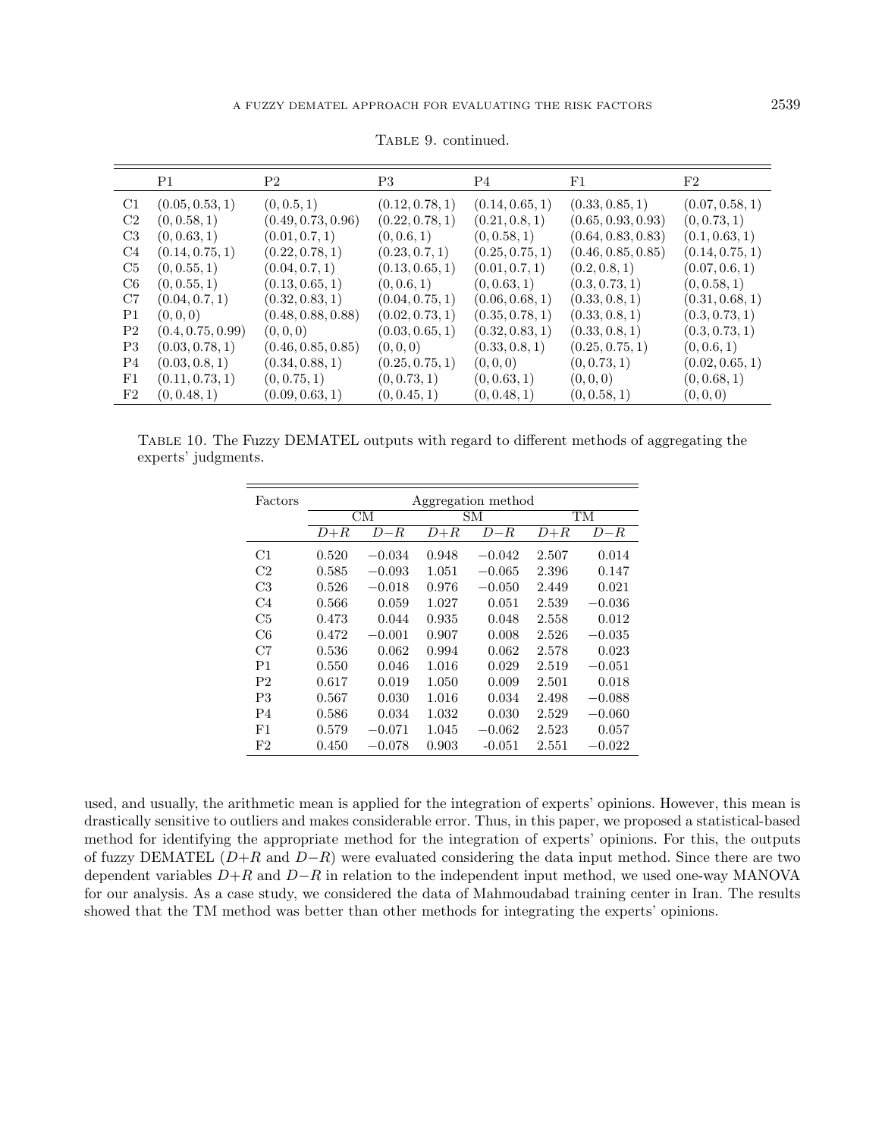<span id="page-14-0"></span>

|                  | P1                | P2                 | P3              | P4              | F1                 | F2              |
|------------------|-------------------|--------------------|-----------------|-----------------|--------------------|-----------------|
| C1               | (0.05, 0.53, 1)   | (0, 0.5, 1)        | (0.12, 0.78, 1) | (0.14, 0.65, 1) | (0.33, 0.85, 1)    | (0.07, 0.58, 1) |
| C2               | (0, 0.58, 1)      | (0.49, 0.73, 0.96) | (0.22, 0.78, 1) | (0.21, 0.8, 1)  | (0.65, 0.93, 0.93) | (0, 0.73, 1)    |
| C3               | (0, 0.63, 1)      | (0.01, 0.7, 1)     | (0, 0.6, 1)     | (0, 0.58, 1)    | (0.64, 0.83, 0.83) | (0.1, 0.63, 1)  |
| C4               | (0.14, 0.75, 1)   | (0.22, 0.78, 1)    | (0.23, 0.7, 1)  | (0.25, 0.75, 1) | (0.46, 0.85, 0.85) | (0.14, 0.75, 1) |
| C5               | (0, 0.55, 1)      | (0.04, 0.7, 1)     | (0.13, 0.65, 1) | (0.01, 0.7, 1)  | (0.2, 0.8, 1)      | (0.07, 0.6, 1)  |
| C6               | (0, 0.55, 1)      | (0.13, 0.65, 1)    | (0, 0.6, 1)     | (0, 0.63, 1)    | (0.3, 0.73, 1)     | (0, 0.58, 1)    |
| C7               | (0.04, 0.7, 1)    | (0.32, 0.83, 1)    | (0.04, 0.75, 1) | (0.06, 0.68, 1) | (0.33, 0.8, 1)     | (0.31, 0.68, 1) |
| P1               | (0,0,0)           | (0.48, 0.88, 0.88) | (0.02, 0.73, 1) | (0.35, 0.78, 1) | (0.33, 0.8, 1)     | (0.3, 0.73, 1)  |
| P2               | (0.4, 0.75, 0.99) | (0,0,0)            | (0.03, 0.65, 1) | (0.32, 0.83, 1) | (0.33, 0.8, 1)     | (0.3, 0.73, 1)  |
| P3               | (0.03, 0.78, 1)   | (0.46, 0.85, 0.85) | (0,0,0)         | (0.33, 0.8, 1)  | (0.25, 0.75, 1)    | (0, 0.6, 1)     |
| P4               | (0.03, 0.8, 1)    | (0.34, 0.88, 1)    | (0.25, 0.75, 1) | (0,0,0)         | (0, 0.73, 1)       | (0.02, 0.65, 1) |
| $_{\rm F1}$      | (0.11, 0.73, 1)   | (0, 0.75, 1)       | (0, 0.73, 1)    | (0, 0.63, 1)    | (0,0,0)            | (0, 0.68, 1)    |
| $_{\mathrm{F2}}$ | (0, 0.48, 1)      | (0.09, 0.63, 1)    | (0, 0.45, 1)    | (0, 0.48, 1)    | (0, 0.58, 1)       | (0,0,0)         |

TABLE 9. continued.

Table 10. The Fuzzy DEMATEL outputs with regard to different methods of aggregating the experts' judgments.

| Factors        | Aggregation method |          |       |                        |       |          |  |  |
|----------------|--------------------|----------|-------|------------------------|-------|----------|--|--|
|                | CM                 |          |       | $\overline{\text{SM}}$ |       | TM       |  |  |
|                | $D+R$<br>$_{D-R}$  |          | $D+R$ | $_{D-R}$               | $D+R$ | D–R      |  |  |
| C1             | 0.520              | $-0.034$ | 0.948 | $-0.042$               | 2.507 | 0.014    |  |  |
| C2             | 0.585              | $-0.093$ | 1.051 | $-0.065$               | 2.396 | 0.147    |  |  |
| C3             | 0.526              | $-0.018$ | 0.976 | $-0.050$               | 2.449 | 0.021    |  |  |
| C4             | 0.566              | 0.059    | 1.027 | 0.051                  | 2.539 | $-0.036$ |  |  |
| C5             | 0.473              | 0.044    | 0.935 | 0.048                  | 2.558 | 0.012    |  |  |
| C6             | 0.472              | $-0.001$ | 0.907 | 0.008                  | 2.526 | $-0.035$ |  |  |
| C7             | 0.536              | 0.062    | 0.994 | 0.062                  | 2.578 | 0.023    |  |  |
| P1             | 0.550              | 0.046    | 1.016 | 0.029                  | 2.519 | $-0.051$ |  |  |
| P <sub>2</sub> | 0.617              | 0.019    | 1.050 | 0.009                  | 2.501 | 0.018    |  |  |
| P3             | 0.567              | 0.030    | 1.016 | 0.034                  | 2.498 | $-0.088$ |  |  |
| P4             | 0.586              | 0.034    | 1.032 | 0.030                  | 2.529 | $-0.060$ |  |  |
| $_{\rm F1}$    | 0.579              | $-0.071$ | 1.045 | $-0.062$               | 2.523 | 0.057    |  |  |
| F2             | 0.450              | $-0.078$ | 0.903 | $-0.051$               | 2.551 | $-0.022$ |  |  |

used, and usually, the arithmetic mean is applied for the integration of experts' opinions. However, this mean is drastically sensitive to outliers and makes considerable error. Thus, in this paper, we proposed a statistical-based method for identifying the appropriate method for the integration of experts' opinions. For this, the outputs of fuzzy DEMATEL ( $D+R$  and  $D-R$ ) were evaluated considering the data input method. Since there are two dependent variables  $D+R$  and  $D-R$  in relation to the independent input method, we used one-way MANOVA for our analysis. As a case study, we considered the data of Mahmoudabad training center in Iran. The results showed that the TM method was better than other methods for integrating the experts' opinions.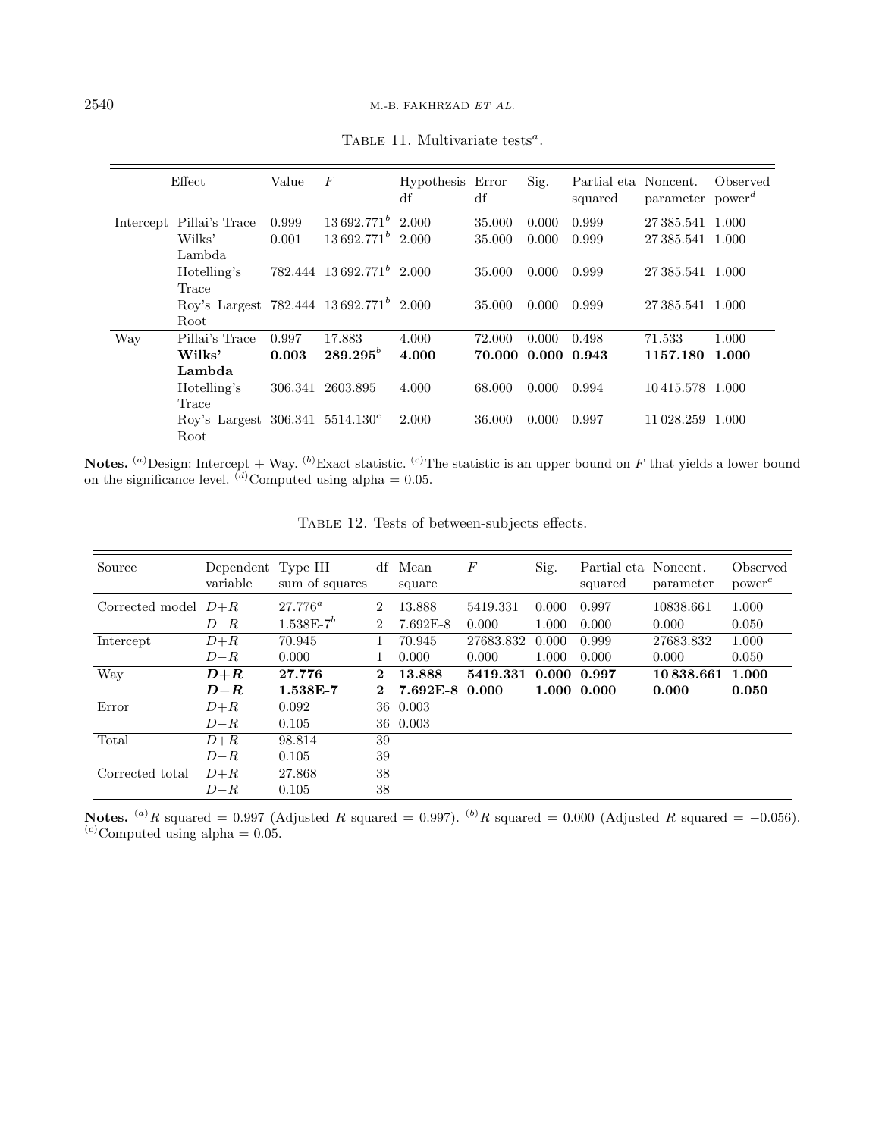|     | Effect                                        | Value | $\boldsymbol{F}$              | Hypothesis Error<br>df | df                 | Sig.  | Partial eta Noncent.<br>squared | parameter $power^d$ | Observed |
|-----|-----------------------------------------------|-------|-------------------------------|------------------------|--------------------|-------|---------------------------------|---------------------|----------|
|     | Intercept Pillai's Trace                      | 0.999 | $13692.771^b$ 2.000           |                        | 35.000             | 0.000 | 0.999                           | 27 385.541 1.000    |          |
|     | Wilks'                                        | 0.001 | $13692.771^b$ 2.000           |                        | 35.000             | 0.000 | 0.999                           | 27.385.541 1.000    |          |
|     | Lambda.                                       |       |                               |                        |                    |       |                                 |                     |          |
|     | Hotelling's                                   |       | $782.444$ $13692.771^b$ 2.000 |                        | 35.000             | 0.000 | 0.999                           | 27.385.541 1.000    |          |
|     | Trace                                         |       |                               |                        |                    |       |                                 |                     |          |
|     | Roy's Largest 782.444 $13692.771^b$ 2.000     |       |                               |                        | 35.000             | 0.000 | 0.999                           | 27 385.541 1.000    |          |
|     | Root.                                         |       |                               |                        |                    |       |                                 |                     |          |
| Way | Pillai's Trace                                | 0.997 | 17.883                        | 4.000                  | 72.000             | 0.000 | 0.498                           | 71.533              | 1.000    |
|     | Wilks'                                        | 0.003 | $289.295^{b}$                 | 4.000                  | 70.000 0.000 0.943 |       |                                 | 1157.180            | 1.000    |
|     | Lambda                                        |       |                               |                        |                    |       |                                 |                     |          |
|     | Hotelling's                                   |       | 306.341 2603.895              | 4.000                  | 68.000             | 0.000 | 0.994                           | 10415.578 1.000     |          |
|     | Trace                                         |       |                               |                        |                    |       |                                 |                     |          |
|     | Rov's Largest $306.341$ 5514.130 <sup>c</sup> |       |                               | 2.000                  | 36.000             | 0.000 | 0.997                           | 11 028.259          | 1.000    |
|     | Root                                          |       |                               |                        |                    |       |                                 |                     |          |

<span id="page-15-1"></span><span id="page-15-0"></span>TABLE 11. Multivariate tests<sup>a</sup>.

**Notes.** (a)Design: Intercept + Way. (b)Exact statistic. (c)The statistic is an upper bound on F that yields a lower bound on the significance level.  $\binom{d}{b}$ Computed using alpha = 0.05.

| Source                | Dependent Type III<br>variable | sum of squares | df             | Mean<br>square | $\boldsymbol{F}$ | Sig.        | Partial eta Noncent.<br>squared | parameter | Observed<br>$power^{c}$ |
|-----------------------|--------------------------------|----------------|----------------|----------------|------------------|-------------|---------------------------------|-----------|-------------------------|
| Corrected model $D+R$ |                                | $27.776^a$     | $\overline{2}$ | 13.888         | 5419.331         | 0.000       | 0.997                           | 10838.661 | 1.000                   |
|                       | $D - R$                        | $1.538E-7^{b}$ | $\overline{2}$ | $7.692E-8$     | 0.000            | 1.000       | 0.000                           | 0.000     | 0.050                   |
| Intercept             | $D+R$                          | 70.945         |                | 70.945         | 27683.832        | 0.000       | 0.999                           | 27683.832 | 1.000                   |
|                       | $D - R$                        | 0.000          |                | 0.000          | 0.000            | 1.000       | 0.000                           | 0.000     | 0.050                   |
| Way                   | $D+R$                          | 27.776         | $\mathbf 2$    | 13.888         | 5419.331         | 0.000 0.997 |                                 | 10838.661 | 1.000                   |
|                       | $D\!-\!R$                      | 1.538E-7       | $\bf{2}$       | 7.692E-8       | 0.000            |             | 1.000 0.000                     | 0.000     | 0.050                   |
| Error                 | $D+R$                          | 0.092          | 36             | 0.003          |                  |             |                                 |           |                         |
|                       | $D - R$                        | 0.105          |                | 36 0.003       |                  |             |                                 |           |                         |
| Total                 | $D+R$                          | 98.814         | 39             |                |                  |             |                                 |           |                         |
|                       | $D - R$                        | 0.105          | 39             |                |                  |             |                                 |           |                         |
| Corrected total       | $D+R$                          | 27.868         | 38             |                |                  |             |                                 |           |                         |
|                       | $D - R$                        | 0.105          | 38             |                |                  |             |                                 |           |                         |

Table 12. Tests of between-subjects effects.

Notes. <sup>(a)</sup>R squared = 0.997 (Adjusted R squared = 0.997). <sup>(b)</sup>R squared = 0.000 (Adjusted R squared = -0.056).  $^{(c)}$ Computed using alpha = 0.05.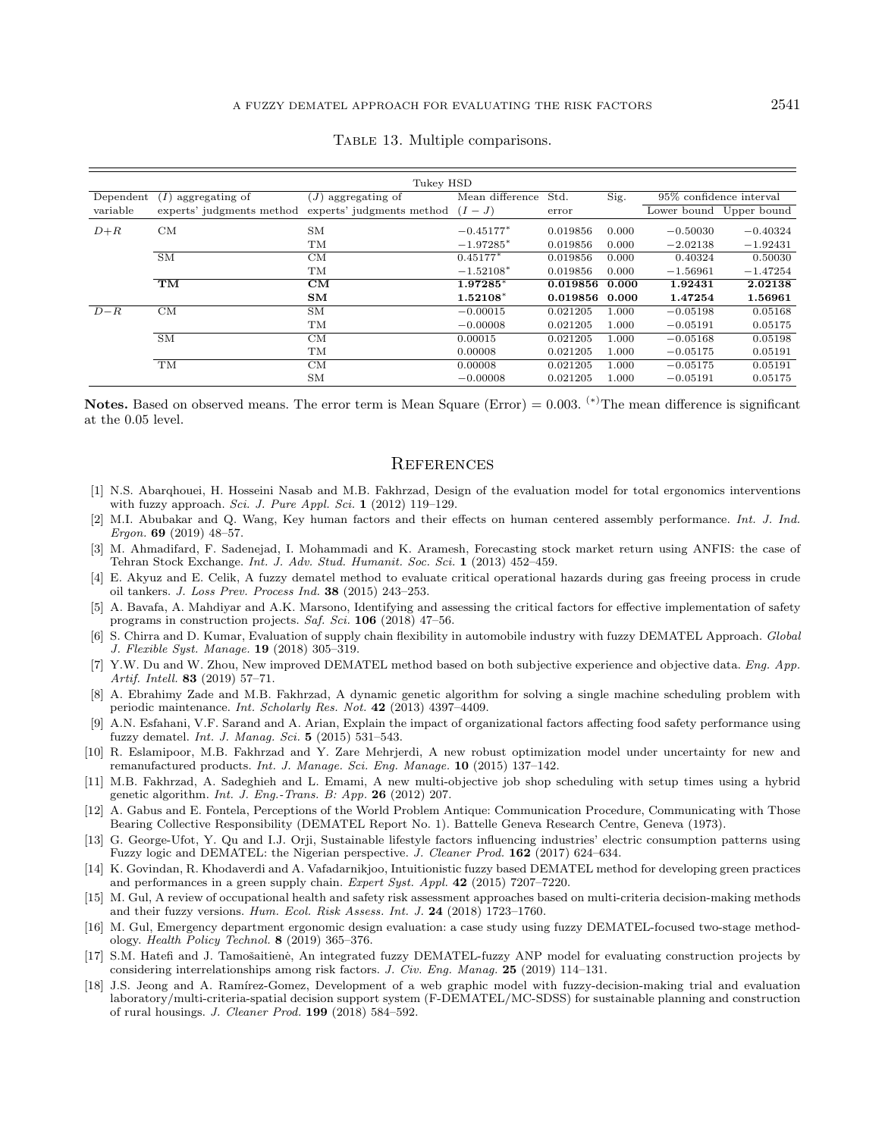<span id="page-16-1"></span>

|                                   |                           | Tukey HSD                         |                 |          |       |                         |            |
|-----------------------------------|---------------------------|-----------------------------------|-----------------|----------|-------|-------------------------|------------|
| Dependent<br>I)<br>aggregating of |                           | aggregating of<br>J)              | Mean difference | Std.     | Sig.  | 95% confidence interval |            |
| variable                          | experts' judgments method | experts' judgments method $(I-J)$ |                 | error    |       | Lower bound Upper bound |            |
| $D+R$                             | CМ                        | <b>SM</b>                         | $-0.45177*$     | 0.019856 | 0.000 | $-0.50030$              | $-0.40324$ |
|                                   |                           | TM                                | $-1.97285*$     | 0.019856 | 0.000 | $-2.02138$              | $-1.92431$ |
|                                   | $\overline{\text{SM}}$    | CM                                | $0.45177*$      | 0.019856 | 0.000 | 0.40324                 | 0.50030    |
|                                   |                           | TM                                | $-1.52108*$     | 0.019856 | 0.000 | $-1.56961$              | $-1.47254$ |
|                                   | TM                        | CM                                | 1.97285*        | 0.019856 | 0.000 | 1.92431                 | 2.02138    |
|                                   |                           | SM                                | $1.52108*$      | 0.019856 | 0.000 | 1.47254                 | 1.56961    |
| $D - R$                           | CM                        | <b>SM</b>                         | $-0.00015$      | 0.021205 | 1.000 | $-0.05198$              | 0.05168    |
|                                   |                           | TM                                | $-0.00008$      | 0.021205 | 1.000 | $-0.05191$              | 0.05175    |
|                                   | <b>SM</b>                 | CМ                                | 0.00015         | 0.021205 | 1.000 | $-0.05168$              | 0.05198    |
|                                   |                           | TM                                | 0.00008         | 0.021205 | 1.000 | $-0.05175$              | 0.05191    |
|                                   | TM                        | CM                                | 0.00008         | 0.021205 | 1.000 | $-0.05175$              | 0.05191    |
|                                   |                           | SM                                | $-0.00008$      | 0.021205 | 1.000 | $-0.05191$              | 0.05175    |

#### <span id="page-16-18"></span>TABLE 13. Multiple comparisons.

<span id="page-16-17"></span><span id="page-16-11"></span><span id="page-16-9"></span><span id="page-16-8"></span><span id="page-16-5"></span>Notes. Based on observed means. The error term is Mean Square (Error) =  $0.003$ . <sup>(\*)</sup>The mean difference is significant at the 0.05 level.

#### **REFERENCES**

- <span id="page-16-3"></span><span id="page-16-2"></span>[1] N.S. Abarqhouei, H. Hosseini Nasab and M.B. Fakhrzad, Design of the evaluation model for total ergonomics interventions with fuzzy approach. Sci. J. Pure Appl. Sci. 1  $(2012)$  119–129.
- <span id="page-16-10"></span>[2] M.I. Abubakar and Q. Wang, Key human factors and their effects on human centered assembly performance. Int. J. Ind. Ergon. 69 (2019) 48–57.
- <span id="page-16-0"></span>[3] M. Ahmadifard, F. Sadenejad, I. Mohammadi and K. Aramesh, Forecasting stock market return using ANFIS: the case of Tehran Stock Exchange. Int. J. Adv. Stud. Humanit. Soc. Sci. 1 (2013) 452–459.
- <span id="page-16-4"></span>[4] E. Akyuz and E. Celik, A fuzzy dematel method to evaluate critical operational hazards during gas freeing process in crude oil tankers. J. Loss Prev. Process Ind. 38 (2015) 243–253.
- <span id="page-16-6"></span>[5] A. Bavafa, A. Mahdiyar and A.K. Marsono, Identifying and assessing the critical factors for effective implementation of safety programs in construction projects. Saf. Sci. 106 (2018) 47–56.
- <span id="page-16-14"></span>[6] S. Chirra and D. Kumar, Evaluation of supply chain flexibility in automobile industry with fuzzy DEMATEL Approach. Global J. Flexible Syst. Manage. 19 (2018) 305–319.
- <span id="page-16-7"></span>[7] Y.W. Du and W. Zhou, New improved DEMATEL method based on both subjective experience and objective data. Eng. App. Artif. Intell. 83 (2019) 57–71.
- <span id="page-16-13"></span>[8] A. Ebrahimy Zade and M.B. Fakhrzad, A dynamic genetic algorithm for solving a single machine scheduling problem with periodic maintenance. Int. Scholarly Res. Not. 42 (2013) 4397–4409.
- <span id="page-16-15"></span>[9] A.N. Esfahani, V.F. Sarand and A. Arian, Explain the impact of organizational factors affecting food safety performance using fuzzy dematel. Int. J. Manag. Sci. 5 (2015) 531–543.
- <span id="page-16-12"></span>[10] R. Eslamipoor, M.B. Fakhrzad and Y. Zare Mehrjerdi, A new robust optimization model under uncertainty for new and remanufactured products. Int. J. Manage. Sci. Eng. Manage. 10 (2015) 137–142.
- <span id="page-16-16"></span>[11] M.B. Fakhrzad, A. Sadeghieh and L. Emami, A new multi-objective job shop scheduling with setup times using a hybrid genetic algorithm. Int. J. Eng.-Trans. B: App. 26 (2012) 207.
- [12] A. Gabus and E. Fontela, Perceptions of the World Problem Antique: Communication Procedure, Communicating with Those Bearing Collective Responsibility (DEMATEL Report No. 1). Battelle Geneva Research Centre, Geneva (1973).
- [13] G. George-Ufot, Y. Qu and I.J. Orji, Sustainable lifestyle factors influencing industries' electric consumption patterns using Fuzzy logic and DEMATEL: the Nigerian perspective. J. Cleaner Prod. 162 (2017) 624–634.
- [14] K. Govindan, R. Khodaverdi and A. Vafadarnikjoo, Intuitionistic fuzzy based DEMATEL method for developing green practices and performances in a green supply chain. Expert Syst. Appl. 42 (2015) 7207–7220.
- [15] M. Gul, A review of occupational health and safety risk assessment approaches based on multi-criteria decision-making methods and their fuzzy versions. Hum. Ecol. Risk Assess. Int. J. 24 (2018) 1723–1760.
- [16] M. Gul, Emergency department ergonomic design evaluation: a case study using fuzzy DEMATEL-focused two-stage methodology. Health Policy Technol. 8 (2019) 365–376.
- [17] S.M. Hatefi and J. Tamošaitienė, An integrated fuzzy DEMATEL-fuzzy ANP model for evaluating construction projects by considering interrelationships among risk factors. J. Civ. Eng. Manag. 25 (2019) 114–131.
- [18] J.S. Jeong and A. Ramírez-Gomez, Development of a web graphic model with fuzzy-decision-making trial and evaluation laboratory/multi-criteria-spatial decision support system (F-DEMATEL/MC-SDSS) for sustainable planning and construction of rural housings. J. Cleaner Prod. 199 (2018) 584–592.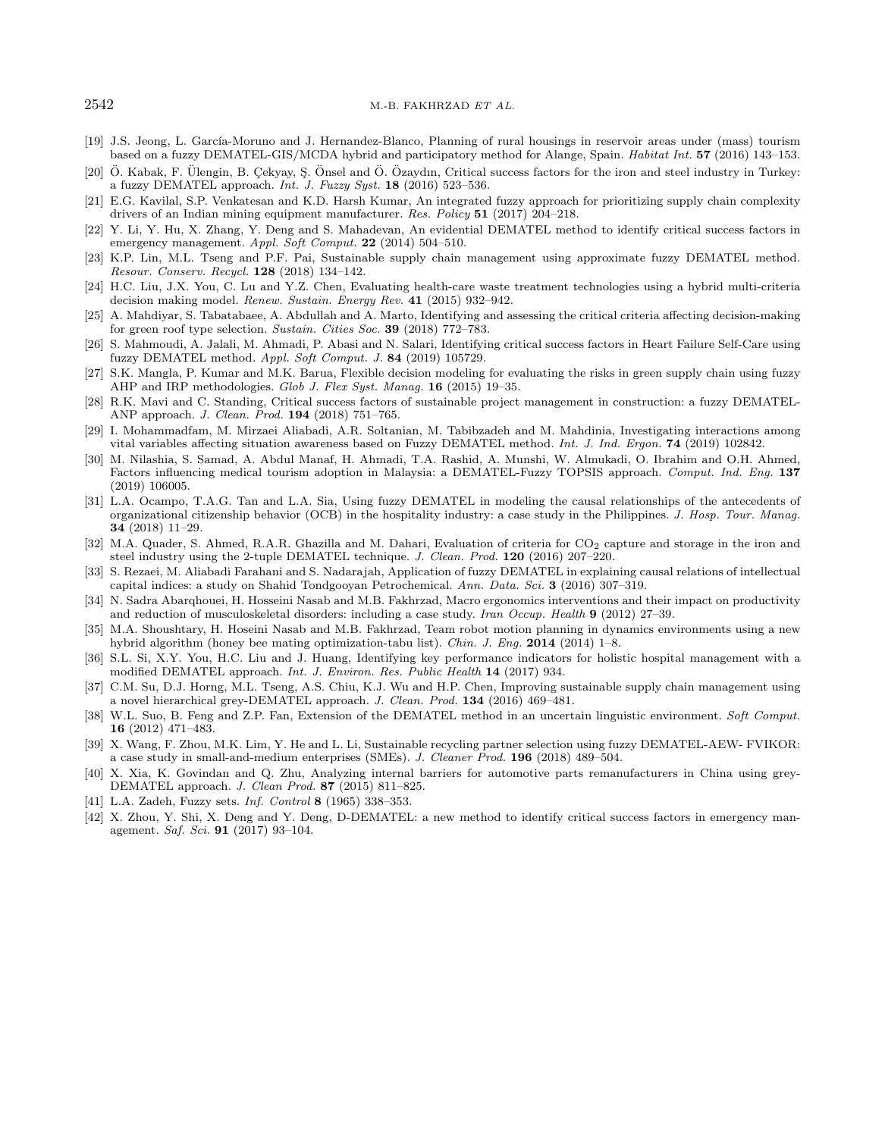#### <span id="page-17-21"></span><span id="page-17-16"></span><span id="page-17-14"></span><span id="page-17-11"></span><span id="page-17-5"></span><span id="page-17-4"></span><span id="page-17-3"></span> $2542$  M.-B. FAKHRZAD ET AL.

- <span id="page-17-19"></span>[19] J.S. Jeong, L. García-Moruno and J. Hernandez-Blanco, Planning of rural housings in reservoir areas under (mass) tourism based on a fuzzy DEMATEL-GIS/MCDA hybrid and participatory method for Alange, Spain. Habitat Int. 57 (2016) 143–153.
- <span id="page-17-13"></span>[20] Ö. Kabak, F. Ülengin, B. Çekyay, Ş. Önsel and Ö. Özaydın, Critical success factors for the iron and steel industry in Turkey: a fuzzy DEMATEL approach. Int. J. Fuzzy Syst.  $18$  (2016) 523–536.
- <span id="page-17-15"></span>[21] E.G. Kavilal, S.P. Venkatesan and K.D. Harsh Kumar, An integrated fuzzy approach for prioritizing supply chain complexity drivers of an Indian mining equipment manufacturer. Res. Policy 51 (2017) 204–218.
- <span id="page-17-20"></span>[22] Y. Li, Y. Hu, X. Zhang, Y. Deng and S. Mahadevan, An evidential DEMATEL method to identify critical success factors in emergency management. Appl. Soft Comput. 22 (2014) 504–510.
- <span id="page-17-6"></span>[23] K.P. Lin, M.L. Tseng and P.F. Pai, Sustainable supply chain management using approximate fuzzy DEMATEL method. Resour. Conserv. Recycl. 128 (2018) 134–142.
- <span id="page-17-17"></span>[24] H.C. Liu, J.X. You, C. Lu and Y.Z. Chen, Evaluating health-care waste treatment technologies using a hybrid multi-criteria decision making model. Renew. Sustain. Energy Rev. 41 (2015) 932–942.
- [25] A. Mahdiyar, S. Tabatabaee, A. Abdullah and A. Marto, Identifying and assessing the critical criteria affecting decision-making for green roof type selection. Sustain. Cities Soc. 39 (2018) 772–783.
- <span id="page-17-12"></span>[26] S. Mahmoudi, A. Jalali, M. Ahmadi, P. Abasi and N. Salari, Identifying critical success factors in Heart Failure Self-Care using fuzzy DEMATEL method. Appl. Soft Comput. J. 84 (2019) 105729.
- <span id="page-17-23"></span>[27] S.K. Mangla, P. Kumar and M.K. Barua, Flexible decision modeling for evaluating the risks in green supply chain using fuzzy AHP and IRP methodologies. Glob J. Flex Syst. Manag. 16 (2015) 19–35.
- <span id="page-17-0"></span>[28] R.K. Mavi and C. Standing, Critical success factors of sustainable project management in construction: a fuzzy DEMATEL-ANP approach. J. Clean. Prod. 194 (2018) 751–765.
- <span id="page-17-1"></span>[29] I. Mohammadfam, M. Mirzaei Aliabadi, A.R. Soltanian, M. Tabibzadeh and M. Mahdinia, Investigating interactions among vital variables affecting situation awareness based on Fuzzy DEMATEL method. Int. J. Ind. Ergon. 74 (2019) 102842.
- <span id="page-17-18"></span><span id="page-17-9"></span>[30] M. Nilashia, S. Samad, A. Abdul Manaf, H. Ahmadi, T.A. Rashid, A. Munshi, W. Almukadi, O. Ibrahim and O.H. Ahmed, Factors influencing medical tourism adoption in Malaysia: a DEMATEL-Fuzzy TOPSIS approach. Comput. Ind. Eng. 137 (2019) 106005.
- <span id="page-17-7"></span>[31] L.A. Ocampo, T.A.G. Tan and L.A. Sia, Using fuzzy DEMATEL in modeling the causal relationships of the antecedents of organizational citizenship behavior (OCB) in the hospitality industry: a case study in the Philippines. J. Hosp. Tour. Manag. 34 (2018) 11–29.
- <span id="page-17-22"></span>[32] M.A. Quader, S. Ahmed, R.A.R. Ghazilla and M. Dahari, Evaluation of criteria for CO<sub>2</sub> capture and storage in the iron and steel industry using the 2-tuple DEMATEL technique. J. Clean. Prod. 120 (2016) 207–220.
- <span id="page-17-10"></span>[33] S. Rezaei, M. Aliabadi Farahani and S. Nadarajah, Application of fuzzy DEMATEL in explaining causal relations of intellectual capital indices: a study on Shahid Tondgooyan Petrochemical. Ann. Data. Sci. 3 (2016) 307–319.
- <span id="page-17-8"></span><span id="page-17-2"></span>[34] N. Sadra Abarqhouei, H. Hosseini Nasab and M.B. Fakhrzad, Macro ergonomics interventions and their impact on productivity and reduction of musculoskeletal disorders: including a case study. Iran Occup. Health 9 (2012) 27–39.
- [35] M.A. Shoushtary, H. Hoseini Nasab and M.B. Fakhrzad, Team robot motion planning in dynamics environments using a new hybrid algorithm (honey bee mating optimization-tabu list). Chin. J. Eng. 2014 (2014) 1–8.
- [36] S.L. Si, X.Y. You, H.C. Liu and J. Huang, Identifying key performance indicators for holistic hospital management with a modified DEMATEL approach. Int. J. Environ. Res. Public Health 14 (2017) 934.
- [37] C.M. Su, D.J. Horng, M.L. Tseng, A.S. Chiu, K.J. Wu and H.P. Chen, Improving sustainable supply chain management using a novel hierarchical grey-DEMATEL approach. J. Clean. Prod. 134 (2016) 469–481.
- [38] W.L. Suo, B. Feng and Z.P. Fan, Extension of the DEMATEL method in an uncertain linguistic environment. Soft Comput. 16 (2012) 471–483.
- [39] X. Wang, F. Zhou, M.K. Lim, Y. He and L. Li, Sustainable recycling partner selection using fuzzy DEMATEL-AEW- FVIKOR: a case study in small-and-medium enterprises (SMEs). J. Cleaner Prod. 196 (2018) 489–504.
- [40] X. Xia, K. Govindan and Q. Zhu, Analyzing internal barriers for automotive parts remanufacturers in China using grey-DEMATEL approach. J. Clean Prod. 87 (2015) 811–825.
- [41] L.A. Zadeh, Fuzzy sets. Inf. Control 8 (1965) 338–353.
- [42] X. Zhou, Y. Shi, X. Deng and Y. Deng, D-DEMATEL: a new method to identify critical success factors in emergency management. Saf. Sci. 91 (2017) 93–104.